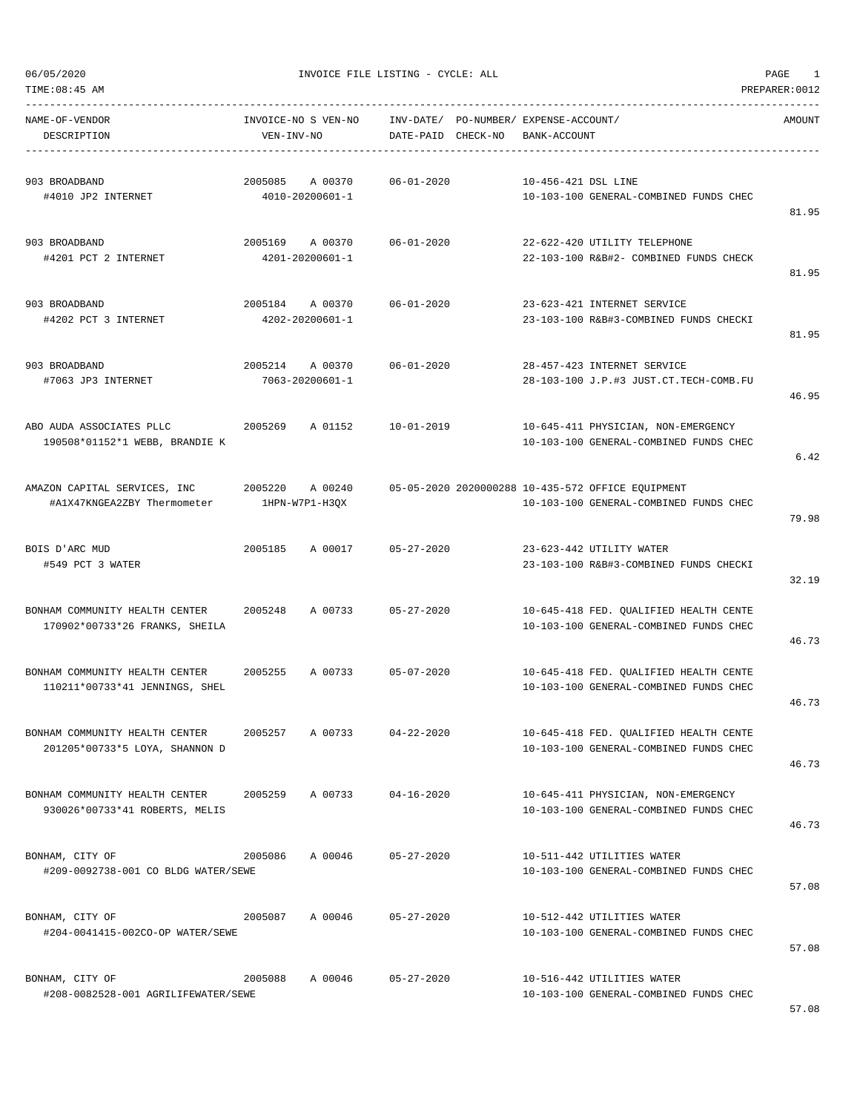TIME:08:45 AM PREPARER:0012

06/05/2020 INVOICE FILE LISTING - CYCLE: ALL PAGE 1

| NAME-OF-VENDOR<br>DESCRIPTION                                    | INVOICE-NO S VEN-NO<br>VEN-INV-NO |                            | DATE-PAID CHECK-NO | INV-DATE/ PO-NUMBER/ EXPENSE-ACCOUNT/<br>BANK-ACCOUNT |                                                                                             | AMOUNT |
|------------------------------------------------------------------|-----------------------------------|----------------------------|--------------------|-------------------------------------------------------|---------------------------------------------------------------------------------------------|--------|
| 903 BROADBAND<br>#4010 JP2 INTERNET                              | 2005085                           | A 00370<br>4010-20200601-1 | $06 - 01 - 2020$   | 10-456-421 DSL LINE                                   | 10-103-100 GENERAL-COMBINED FUNDS CHEC                                                      | 81.95  |
| 903 BROADBAND<br>#4201 PCT 2 INTERNET                            | 2005169 A 00370                   | 4201-20200601-1            | $06 - 01 - 2020$   |                                                       | 22-622-420 UTILITY TELEPHONE<br>22-103-100 R&B#2- COMBINED FUNDS CHECK                      | 81.95  |
| 903 BROADBAND<br>#4202 PCT 3 INTERNET                            | 2005184 A 00370                   | 4202-20200601-1            | $06 - 01 - 2020$   |                                                       | 23-623-421 INTERNET SERVICE<br>23-103-100 R&B#3-COMBINED FUNDS CHECKI                       | 81.95  |
| 903 BROADBAND<br>#7063 JP3 INTERNET                              | 2005214                           | A 00370<br>7063-20200601-1 | $06 - 01 - 2020$   |                                                       | 28-457-423 INTERNET SERVICE<br>28-103-100 J.P.#3 JUST.CT.TECH-COMB.FU                       | 46.95  |
| ABO AUDA ASSOCIATES PLLC<br>190508*01152*1 WEBB, BRANDIE K       | 2005269                           | A 01152                    | $10 - 01 - 2019$   |                                                       | 10-645-411 PHYSICIAN, NON-EMERGENCY<br>10-103-100 GENERAL-COMBINED FUNDS CHEC               | 6.42   |
| AMAZON CAPITAL SERVICES, INC<br>#A1X47KNGEA2ZBY Thermometer      | 2005220                           | A 00240<br>1HPN-W7P1-H3QX  |                    |                                                       | 05-05-2020 2020000288 10-435-572 OFFICE EQUIPMENT<br>10-103-100 GENERAL-COMBINED FUNDS CHEC | 79.98  |
| BOIS D'ARC MUD<br>#549 PCT 3 WATER                               | 2005185                           | A 00017                    | $05 - 27 - 2020$   |                                                       | 23-623-442 UTILITY WATER<br>23-103-100 R&B#3-COMBINED FUNDS CHECKI                          | 32.19  |
| BONHAM COMMUNITY HEALTH CENTER<br>170902*00733*26 FRANKS, SHEILA | 2005248                           | A 00733                    | $05 - 27 - 2020$   |                                                       | 10-645-418 FED. QUALIFIED HEALTH CENTE<br>10-103-100 GENERAL-COMBINED FUNDS CHEC            | 46.73  |
| BONHAM COMMUNITY HEALTH CENTER<br>110211*00733*41 JENNINGS, SHEL | 2005255                           | A 00733                    | $05 - 07 - 2020$   |                                                       | 10-645-418 FED. OUALIFIED HEALTH CENTE<br>10-103-100 GENERAL-COMBINED FUNDS CHEC            | 46.73  |
| BONHAM COMMUNITY HEALTH CENTER<br>201205*00733*5 LOYA, SHANNON D | 2005257 A 00733                   |                            | $04 - 22 - 2020$   |                                                       | 10-645-418 FED. QUALIFIED HEALTH CENTE<br>10-103-100 GENERAL-COMBINED FUNDS CHEC            | 46.73  |
| BONHAM COMMUNITY HEALTH CENTER<br>930026*00733*41 ROBERTS, MELIS |                                   | 2005259 A 00733            | $04 - 16 - 2020$   |                                                       | 10-645-411 PHYSICIAN, NON-EMERGENCY<br>10-103-100 GENERAL-COMBINED FUNDS CHEC               | 46.73  |
| BONHAM, CITY OF<br>#209-0092738-001 CO BLDG WATER/SEWE           | 2005086                           | A 00046                    | $05 - 27 - 2020$   |                                                       | 10-511-442 UTILITIES WATER<br>10-103-100 GENERAL-COMBINED FUNDS CHEC                        | 57.08  |
| BONHAM, CITY OF<br>#204-0041415-002CO-OP WATER/SEWE              | 2005087                           | A 00046                    | $05 - 27 - 2020$   |                                                       | 10-512-442 UTILITIES WATER<br>10-103-100 GENERAL-COMBINED FUNDS CHEC                        | 57.08  |
| BONHAM, CITY OF<br>#208-0082528-001 AGRILIFEWATER/SEWE           | 2005088                           | A 00046                    | $05 - 27 - 2020$   |                                                       | 10-516-442 UTILITIES WATER<br>10-103-100 GENERAL-COMBINED FUNDS CHEC                        |        |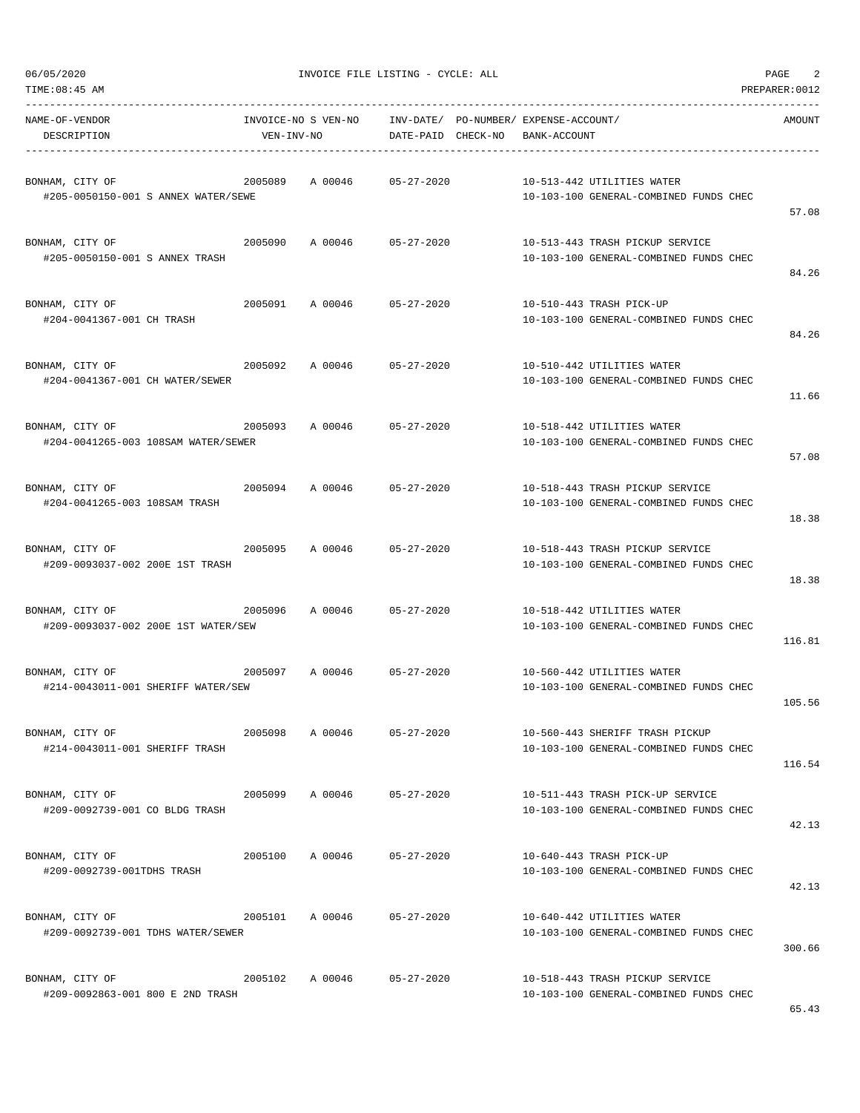| TIME:08:45 AM                                                     |            |                     |                                       |              |                                                                            | PREPARER: 0012 |
|-------------------------------------------------------------------|------------|---------------------|---------------------------------------|--------------|----------------------------------------------------------------------------|----------------|
| NAME-OF-VENDOR                                                    |            | INVOICE-NO S VEN-NO | INV-DATE/ PO-NUMBER/ EXPENSE-ACCOUNT/ |              |                                                                            | AMOUNT         |
| DESCRIPTION                                                       | VEN-INV-NO |                     | DATE-PAID CHECK-NO                    | BANK-ACCOUNT |                                                                            |                |
| BONHAM, CITY OF<br>#205-0050150-001 S ANNEX WATER/SEWE            | 2005089    |                     | A 00046 05-27-2020                    |              | 10-513-442 UTILITIES WATER<br>10-103-100 GENERAL-COMBINED FUNDS CHEC       | 57.08          |
| BONHAM, CITY OF<br>#205-0050150-001 S ANNEX TRASH                 | 2005090    |                     | A 00046 05-27-2020                    |              | 10-513-443 TRASH PICKUP SERVICE<br>10-103-100 GENERAL-COMBINED FUNDS CHEC  | 84.26          |
| BONHAM, CITY OF<br>#204-0041367-001 CH TRASH                      | 2005091    | A 00046             | 05-27-2020                            |              | 10-510-443 TRASH PICK-UP<br>10-103-100 GENERAL-COMBINED FUNDS CHEC         | 84.26          |
| BONHAM, CITY OF<br>#204-0041367-001 CH WATER/SEWER                | 2005092    |                     | A 00046 05-27-2020                    |              | 10-510-442 UTILITIES WATER<br>10-103-100 GENERAL-COMBINED FUNDS CHEC       | 11.66          |
| BONHAM, CITY OF<br>2005093<br>#204-0041265-003 108SAM WATER/SEWER |            | A 00046             | 05-27-2020                            |              | 10-518-442 UTILITIES WATER<br>10-103-100 GENERAL-COMBINED FUNDS CHEC       | 57.08          |
| BONHAM, CITY OF<br>#204-0041265-003 108SAM TRASH                  |            | 2005094 A 00046     | 05-27-2020                            |              | 10-518-443 TRASH PICKUP SERVICE<br>10-103-100 GENERAL-COMBINED FUNDS CHEC  | 18.38          |
| BONHAM, CITY OF<br>#209-0093037-002 200E 1ST TRASH                | 2005095    | A 00046             | 05-27-2020                            |              | 10-518-443 TRASH PICKUP SERVICE<br>10-103-100 GENERAL-COMBINED FUNDS CHEC  | 18.38          |
| 2005096<br>BONHAM, CITY OF<br>#209-0093037-002 200E 1ST WATER/SEW |            |                     | A 00046 05-27-2020                    |              | 10-518-442 UTILITIES WATER<br>10-103-100 GENERAL-COMBINED FUNDS CHEC       | 116.81         |
| BONHAM, CITY OF<br>#214-0043011-001 SHERIFF WATER/SEW             | 2005097    |                     | A 00046 05-27-2020                    |              | 10-560-442 UTILITIES WATER<br>10-103-100 GENERAL-COMBINED FUNDS CHEC       | 105.56         |
| BONHAM, CITY OF<br>#214-0043011-001 SHERIFF TRASH                 | 2005098    | A 00046             | $05 - 27 - 2020$                      |              | 10-560-443 SHERIFF TRASH PICKUP<br>10-103-100 GENERAL-COMBINED FUNDS CHEC  | 116.54         |
| BONHAM, CITY OF<br>#209-0092739-001 CO BLDG TRASH                 |            | 2005099 A 00046     | 05-27-2020                            |              | 10-511-443 TRASH PICK-UP SERVICE<br>10-103-100 GENERAL-COMBINED FUNDS CHEC | 42.13          |
| BONHAM, CITY OF<br>#209-0092739-001TDHS TRASH                     | 2005100    |                     | A 00046 05-27-2020                    |              | 10-640-443 TRASH PICK-UP<br>10-103-100 GENERAL-COMBINED FUNDS CHEC         | 42.13          |
| BONHAM, CITY OF<br>#209-0092739-001 TDHS WATER/SEWER              | 2005101    | A 00046             | 05-27-2020                            |              | 10-640-442 UTILITIES WATER<br>10-103-100 GENERAL-COMBINED FUNDS CHEC       | 300.66         |
| BONHAM, CITY OF<br>#209-0092863-001 800 E 2ND TRASH               | 2005102    | A 00046             | 05-27-2020                            |              | 10-518-443 TRASH PICKUP SERVICE<br>10-103-100 GENERAL-COMBINED FUNDS CHEC  |                |

65.43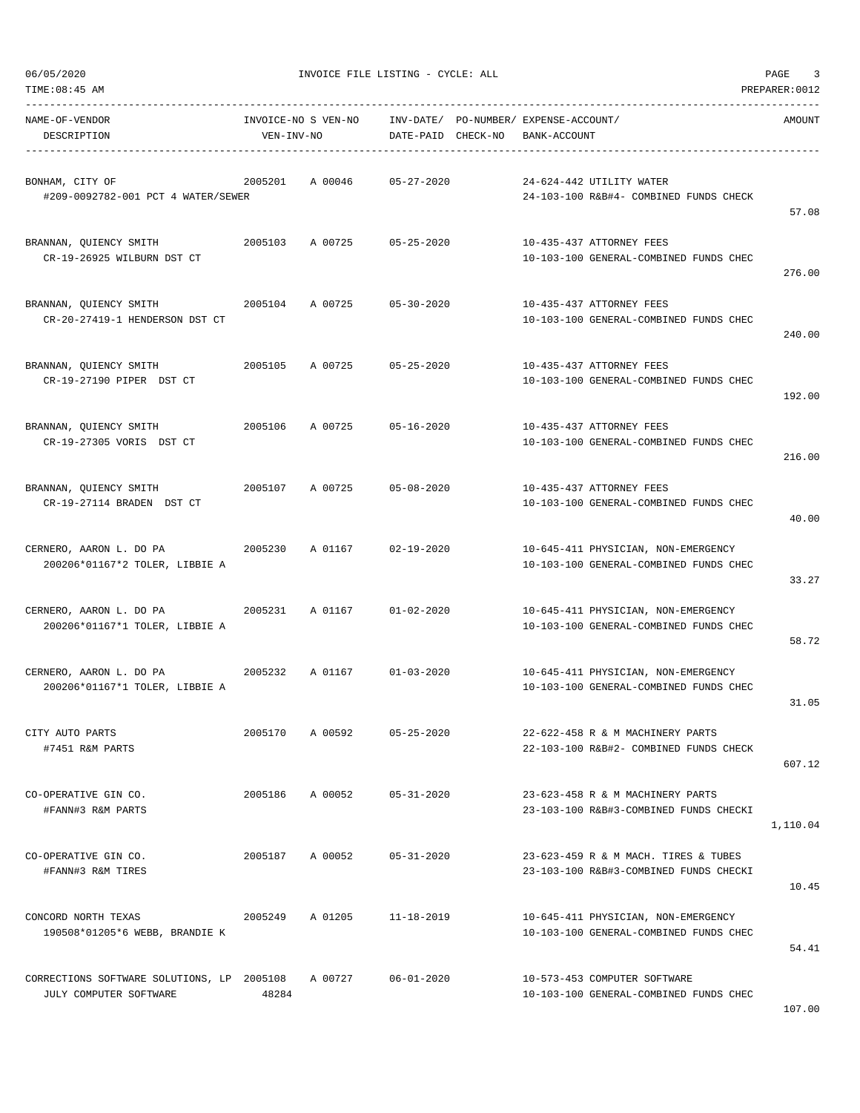| TIME:08:45 AM                                                        |                 |                            |                    |                                                       |                                                                                | PREPARER: 0012 |
|----------------------------------------------------------------------|-----------------|----------------------------|--------------------|-------------------------------------------------------|--------------------------------------------------------------------------------|----------------|
| NAME-OF-VENDOR<br>DESCRIPTION                                        | VEN-INV-NO      | INVOICE-NO S VEN-NO        | DATE-PAID CHECK-NO | INV-DATE/ PO-NUMBER/ EXPENSE-ACCOUNT/<br>BANK-ACCOUNT |                                                                                | AMOUNT         |
| BONHAM, CITY OF<br>#209-0092782-001 PCT 4 WATER/SEWER                | 2005201         | A 00046                    | 05-27-2020         | 24-624-442 UTILITY WATER                              | 24-103-100 R&B#4- COMBINED FUNDS CHECK                                         | 57.08          |
| BRANNAN, QUIENCY SMITH<br>CR-19-26925 WILBURN DST CT                 | 2005103         | A 00725                    | $05 - 25 - 2020$   | 10-435-437 ATTORNEY FEES                              | 10-103-100 GENERAL-COMBINED FUNDS CHEC                                         | 276.00         |
| BRANNAN, QUIENCY SMITH<br>CR-20-27419-1 HENDERSON DST CT             | 2005104         | A 00725                    | $05 - 30 - 2020$   | 10-435-437 ATTORNEY FEES                              | 10-103-100 GENERAL-COMBINED FUNDS CHEC                                         | 240.00         |
| BRANNAN, QUIENCY SMITH<br>CR-19-27190 PIPER DST CT                   | 2005105         | A 00725                    | 05-25-2020         | 10-435-437 ATTORNEY FEES                              | 10-103-100 GENERAL-COMBINED FUNDS CHEC                                         | 192.00         |
| BRANNAN, QUIENCY SMITH<br>CR-19-27305 VORIS DST CT                   | 2005106         | A 00725                    | $05 - 16 - 2020$   | 10-435-437 ATTORNEY FEES                              | 10-103-100 GENERAL-COMBINED FUNDS CHEC                                         | 216.00         |
| BRANNAN, QUIENCY SMITH<br>CR-19-27114 BRADEN DST CT                  | 2005107         | A 00725                    | $05 - 08 - 2020$   | 10-435-437 ATTORNEY FEES                              | 10-103-100 GENERAL-COMBINED FUNDS CHEC                                         | 40.00          |
| CERNERO, AARON L. DO PA<br>200206*01167*2 TOLER, LIBBIE A            | 2005230         | A 01167                    | $02 - 19 - 2020$   |                                                       | 10-645-411 PHYSICIAN, NON-EMERGENCY<br>10-103-100 GENERAL-COMBINED FUNDS CHEC  | 33.27          |
| 2005231<br>CERNERO, AARON L. DO PA<br>200206*01167*1 TOLER, LIBBIE A |                 | A 01167                    | $01 - 02 - 2020$   |                                                       | 10-645-411 PHYSICIAN, NON-EMERGENCY<br>10-103-100 GENERAL-COMBINED FUNDS CHEC  | 58.72          |
| CERNERO, AARON L. DO PA<br>200206*01167*1 TOLER, LIBBIE A            |                 | 2005232 A 01167 01-03-2020 |                    |                                                       | 10-645-411 PHYSICIAN, NON-EMERGENCY<br>10-103-100 GENERAL-COMBINED FUNDS CHEC  | 31.05          |
| CITY AUTO PARTS<br>#7451 R&M PARTS                                   | 2005170         | A 00592                    | $05 - 25 - 2020$   |                                                       | 22-622-458 R & M MACHINERY PARTS<br>22-103-100 R&B#2- COMBINED FUNDS CHECK     | 607.12         |
| CO-OPERATIVE GIN CO.<br>#FANN#3 R&M PARTS                            | 2005186 A 00052 |                            | $05 - 31 - 2020$   |                                                       | 23-623-458 R & M MACHINERY PARTS<br>23-103-100 R&B#3-COMBINED FUNDS CHECKI     | 1,110.04       |
| CO-OPERATIVE GIN CO.<br>#FANN#3 R&M TIRES                            | 2005187         | A 00052                    | $05 - 31 - 2020$   |                                                       | 23-623-459 R & M MACH. TIRES & TUBES<br>23-103-100 R&B#3-COMBINED FUNDS CHECKI | 10.45          |
| CONCORD NORTH TEXAS<br>190508*01205*6 WEBB, BRANDIE K                | 2005249         | A 01205                    | $11 - 18 - 2019$   |                                                       | 10-645-411 PHYSICIAN, NON-EMERGENCY<br>10-103-100 GENERAL-COMBINED FUNDS CHEC  | 54.41          |
| CORRECTIONS SOFTWARE SOLUTIONS, LP 2005108<br>JULY COMPUTER SOFTWARE | 48284           | A 00727                    | $06 - 01 - 2020$   | 10-573-453 COMPUTER SOFTWARE                          | 10-103-100 GENERAL-COMBINED FUNDS CHEC                                         |                |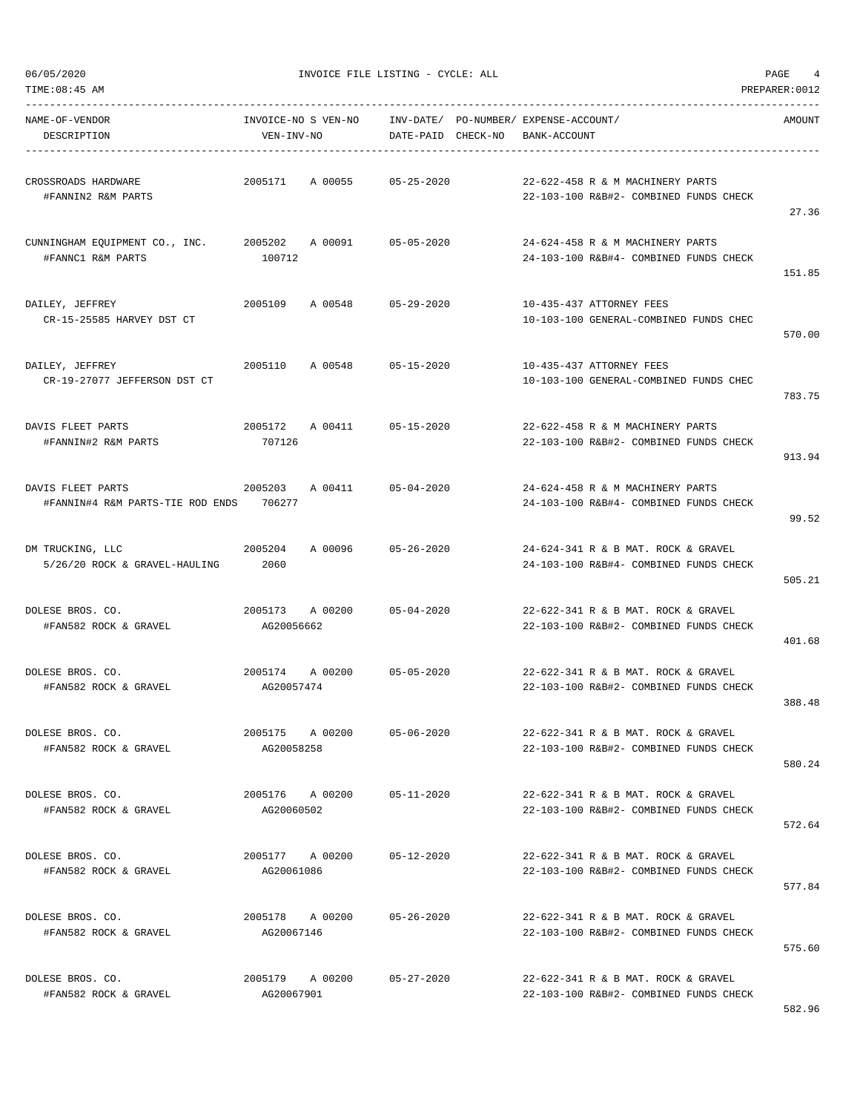| 06/05/2020<br>TIME:08:45 AM                           |                                   | INVOICE FILE LISTING - CYCLE: ALL                           |                                                                               | PAGE<br>4<br>PREPARER: 0012 |
|-------------------------------------------------------|-----------------------------------|-------------------------------------------------------------|-------------------------------------------------------------------------------|-----------------------------|
| NAME-OF-VENDOR<br>DESCRIPTION                         | INVOICE-NO S VEN-NO<br>VEN-INV-NO | INV-DATE/ PO-NUMBER/ EXPENSE-ACCOUNT/<br>DATE-PAID CHECK-NO | BANK-ACCOUNT                                                                  | AMOUNT                      |
| CROSSROADS HARDWARE<br>#FANNIN2 R&M PARTS             | 2005171<br>A 00055                | $05 - 25 - 2020$                                            | 22-622-458 R & M MACHINERY PARTS<br>22-103-100 R&B#2- COMBINED FUNDS CHECK    | 27.36                       |
| CUNNINGHAM EQUIPMENT CO., INC.<br>#FANNC1 R&M PARTS   | 2005202 A 00091<br>100712         | 05-05-2020                                                  | 24-624-458 R & M MACHINERY PARTS<br>24-103-100 R&B#4- COMBINED FUNDS CHECK    | 151.85                      |
| DAILEY, JEFFREY<br>CR-15-25585 HARVEY DST CT          | 2005109<br>A 00548                | $05 - 29 - 2020$                                            | 10-435-437 ATTORNEY FEES<br>10-103-100 GENERAL-COMBINED FUNDS CHEC            | 570.00                      |
| DAILEY, JEFFREY<br>CR-19-27077 JEFFERSON DST CT       | A 00548<br>2005110                | 05-15-2020                                                  | 10-435-437 ATTORNEY FEES<br>10-103-100 GENERAL-COMBINED FUNDS CHEC            | 783.75                      |
| DAVIS FLEET PARTS<br>#FANNIN#2 R&M PARTS              | 2005172 A 00411<br>707126         | $05 - 15 - 2020$                                            | 22-622-458 R & M MACHINERY PARTS<br>22-103-100 R&B#2- COMBINED FUNDS CHECK    | 913.94                      |
| DAVIS FLEET PARTS<br>#FANNIN#4 R&M PARTS-TIE ROD ENDS | 2005203<br>A 00411<br>706277      | $05 - 04 - 2020$                                            | 24-624-458 R & M MACHINERY PARTS<br>24-103-100 R&B#4- COMBINED FUNDS CHECK    | 99.52                       |
| DM TRUCKING, LLC<br>5/26/20 ROCK & GRAVEL-HAULING     | 2005204<br>A 00096<br>2060        | $05 - 26 - 2020$                                            | 24-624-341 R & B MAT. ROCK & GRAVEL<br>24-103-100 R&B#4- COMBINED FUNDS CHECK | 505.21                      |
| DOLESE BROS. CO.<br>#FAN582 ROCK & GRAVEL             | 2005173 A 00200<br>AG20056662     | $05 - 04 - 2020$                                            | 22-622-341 R & B MAT. ROCK & GRAVEL<br>22-103-100 R&B#2- COMBINED FUNDS CHECK | 401.68                      |
| DOLESE BROS. CO.<br>#FAN582 ROCK & GRAVEL             | 2005174<br>A 00200<br>AG20057474  | $05 - 05 - 2020$                                            | 22-622-341 R & B MAT. ROCK & GRAVEL<br>22-103-100 R&B#2- COMBINED FUNDS CHECK | 388.48                      |
| DOLESE BROS. CO.<br>#FAN582 ROCK & GRAVEL             | 2005175 A 00200<br>AG20058258     | $05 - 06 - 2020$                                            | 22-622-341 R & B MAT, ROCK & GRAVEL<br>22-103-100 R&B#2- COMBINED FUNDS CHECK | 580.24                      |
| DOLESE BROS. CO.<br>#FAN582 ROCK & GRAVEL             | 2005176 A 00200<br>AG20060502     | $05 - 11 - 2020$                                            | 22-622-341 R & B MAT, ROCK & GRAVEL<br>22-103-100 R&B#2- COMBINED FUNDS CHECK | 572.64                      |
| DOLESE BROS. CO.<br>#FAN582 ROCK & GRAVEL             | 2005177 A 00200<br>AG20061086     | $05 - 12 - 2020$                                            | 22-622-341 R & B MAT. ROCK & GRAVEL<br>22-103-100 R&B#2- COMBINED FUNDS CHECK | 577.84                      |
| DOLESE BROS. CO.<br>#FAN582 ROCK & GRAVEL             | 2005178 A 00200<br>AG20067146     | $05 - 26 - 2020$                                            | 22-622-341 R & B MAT. ROCK & GRAVEL<br>22-103-100 R&B#2- COMBINED FUNDS CHECK | 575.60                      |
| DOLESE BROS. CO.<br>#FAN582 ROCK & GRAVEL             | 2005179 A 00200<br>AG20067901     | $05 - 27 - 2020$                                            | 22-622-341 R & B MAT. ROCK & GRAVEL<br>22-103-100 R&B#2- COMBINED FUNDS CHECK |                             |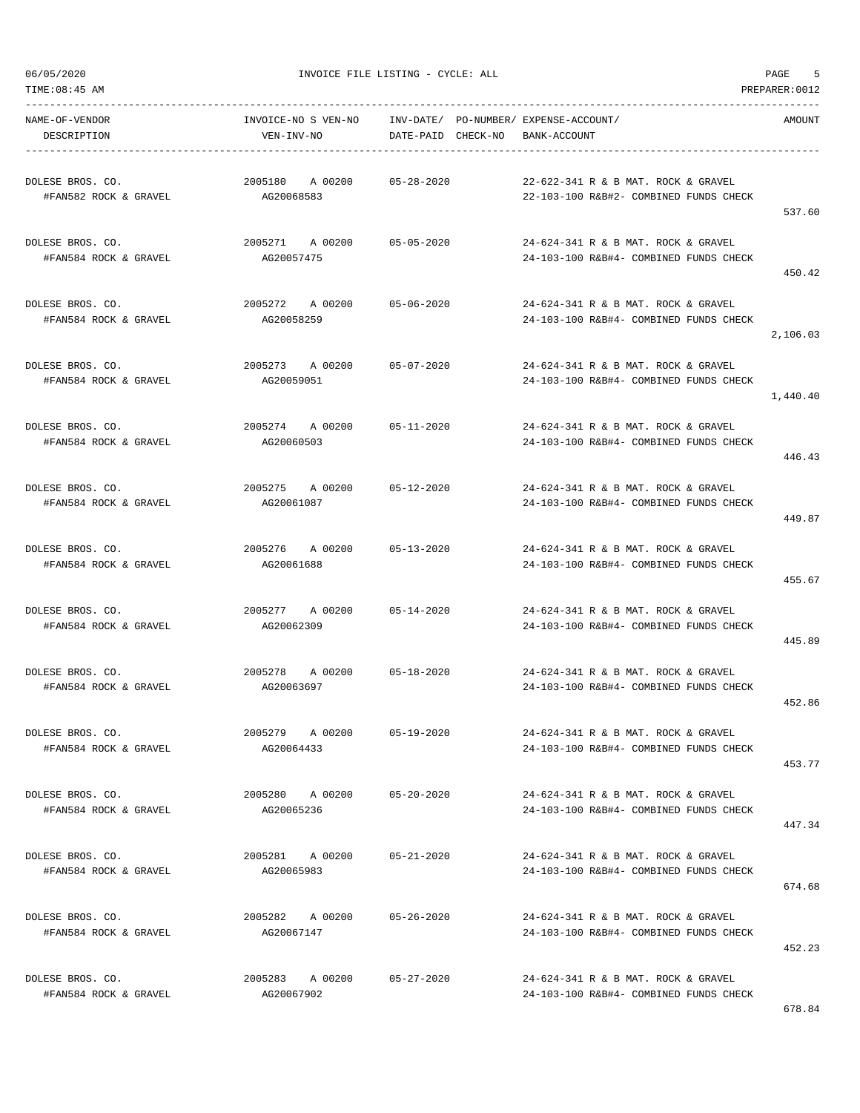TIME:08:45 AM PREPARER:0012

06/05/2020 INVOICE FILE LISTING - CYCLE: ALL PAGE 5

| NAME-OF-VENDOR<br>DESCRIPTION             | INVOICE-NO S VEN-NO INV-DATE/ PO-NUMBER/ EXPENSE-ACCOUNT/<br>VEN-INV-NO | DATE-PAID CHECK-NO | BANK-ACCOUNT                                                                  | AMOUNT   |
|-------------------------------------------|-------------------------------------------------------------------------|--------------------|-------------------------------------------------------------------------------|----------|
| DOLESE BROS. CO.<br>#FAN582 ROCK & GRAVEL | 2005180 A 00200 05-28-2020<br>AG20068583                                |                    | 22-622-341 R & B MAT. ROCK & GRAVEL<br>22-103-100 R&B#2- COMBINED FUNDS CHECK | 537.60   |
| DOLESE BROS. CO.<br>#FAN584 ROCK & GRAVEL | 2005271 A 00200<br>AG20057475                                           | $05 - 05 - 2020$   | 24-624-341 R & B MAT. ROCK & GRAVEL<br>24-103-100 R&B#4- COMBINED FUNDS CHECK | 450.42   |
| DOLESE BROS. CO.<br>#FAN584 ROCK & GRAVEL | 2005272 A 00200 05-06-2020<br>AG20058259                                |                    | 24-624-341 R & B MAT. ROCK & GRAVEL<br>24-103-100 R&B#4- COMBINED FUNDS CHECK | 2,106.03 |
| DOLESE BROS. CO.<br>#FAN584 ROCK & GRAVEL | 2005273 A 00200 05-07-2020<br>AG20059051                                |                    | 24-624-341 R & B MAT. ROCK & GRAVEL<br>24-103-100 R&B#4- COMBINED FUNDS CHECK | 1,440.40 |
| DOLESE BROS. CO.<br>#FAN584 ROCK & GRAVEL | 2005274 A 00200 05-11-2020<br>AG20060503                                |                    | 24-624-341 R & B MAT. ROCK & GRAVEL<br>24-103-100 R&B#4- COMBINED FUNDS CHECK | 446.43   |
| DOLESE BROS. CO.<br>#FAN584 ROCK & GRAVEL | 2005275 A 00200 05-12-2020<br>AG20061087                                |                    | 24-624-341 R & B MAT, ROCK & GRAVEL<br>24-103-100 R&B#4- COMBINED FUNDS CHECK | 449.87   |
| DOLESE BROS. CO.<br>#FAN584 ROCK & GRAVEL | 2005276 A 00200 05-13-2020<br>AG20061688                                |                    | 24-624-341 R & B MAT. ROCK & GRAVEL<br>24-103-100 R&B#4- COMBINED FUNDS CHECK | 455.67   |
| DOLESE BROS. CO.<br>#FAN584 ROCK & GRAVEL | 2005277 A 00200<br>AG20062309                                           | $05 - 14 - 2020$   | 24-624-341 R & B MAT. ROCK & GRAVEL<br>24-103-100 R&B#4- COMBINED FUNDS CHECK | 445.89   |
| DOLESE BROS. CO.<br>#FAN584 ROCK & GRAVEL | 2005278 A 00200 05-18-2020<br>AG20063697                                |                    | 24-624-341 R & B MAT. ROCK & GRAVEL<br>24-103-100 R&B#4- COMBINED FUNDS CHECK | 452.86   |
| DOLESE BROS. CO.<br>#FAN584 ROCK & GRAVEL | 2005279 A 00200<br>AG20064433                                           | 05-19-2020         | 24-624-341 R & B MAT. ROCK & GRAVEL<br>24-103-100 R&B#4- COMBINED FUNDS CHECK | 453.77   |
| DOLESE BROS. CO.<br>#FAN584 ROCK & GRAVEL | 2005280 A 00200 05-20-2020<br>AG20065236                                |                    | 24-624-341 R & B MAT. ROCK & GRAVEL<br>24-103-100 R&B#4- COMBINED FUNDS CHECK | 447.34   |
| DOLESE BROS. CO.<br>#FAN584 ROCK & GRAVEL | 2005281 A 00200<br>AG20065983                                           | 05-21-2020         | 24-624-341 R & B MAT. ROCK & GRAVEL<br>24-103-100 R&B#4- COMBINED FUNDS CHECK | 674.68   |
| DOLESE BROS. CO.<br>#FAN584 ROCK & GRAVEL | 2005282 A 00200<br>AG20067147                                           | $05 - 26 - 2020$   | 24-624-341 R & B MAT. ROCK & GRAVEL<br>24-103-100 R&B#4- COMBINED FUNDS CHECK | 452.23   |
| DOLESE BROS. CO.<br>#FAN584 ROCK & GRAVEL | 2005283 A 00200<br>AG20067902                                           | 05-27-2020         | 24-624-341 R & B MAT. ROCK & GRAVEL<br>24-103-100 R&B#4- COMBINED FUNDS CHECK |          |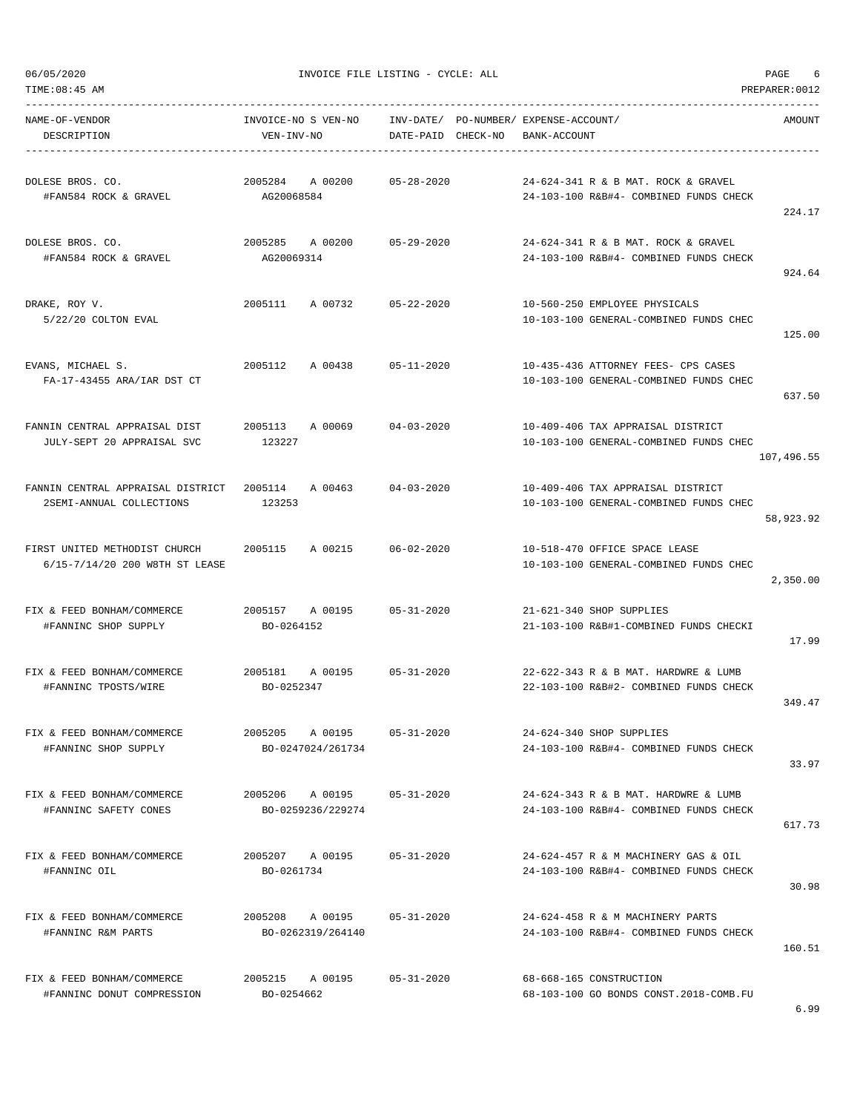TIME:08:45 AM PREPARER:0012

06/05/2020 INVOICE FILE LISTING - CYCLE: ALL PAGE 6

| NAME-OF-VENDOR<br>DESCRIPTION                                                 | INVOICE-NO S VEN-NO<br>VEN-INV-NO    | DATE-PAID CHECK-NO | INV-DATE/ PO-NUMBER/ EXPENSE-ACCOUNT/<br>BANK-ACCOUNT                          | AMOUNT     |
|-------------------------------------------------------------------------------|--------------------------------------|--------------------|--------------------------------------------------------------------------------|------------|
| DOLESE BROS. CO.<br>#FAN584 ROCK & GRAVEL                                     | 2005284<br>A 00200<br>AG20068584     | $05 - 28 - 2020$   | 24-624-341 R & B MAT. ROCK & GRAVEL<br>24-103-100 R&B#4- COMBINED FUNDS CHECK  | 224.17     |
| DOLESE BROS. CO.<br>#FAN584 ROCK & GRAVEL                                     | 2005285 A 00200<br>AG20069314        | $05 - 29 - 2020$   | 24-624-341 R & B MAT, ROCK & GRAVEL<br>24-103-100 R&B#4- COMBINED FUNDS CHECK  | 924.64     |
| DRAKE, ROY V.<br>5/22/20 COLTON EVAL                                          | 2005111 A 00732                      | 05-22-2020         | 10-560-250 EMPLOYEE PHYSICALS<br>10-103-100 GENERAL-COMBINED FUNDS CHEC        | 125.00     |
| EVANS, MICHAEL S.<br>FA-17-43455 ARA/IAR DST CT                               | 2005112<br>A 00438                   | $05 - 11 - 2020$   | 10-435-436 ATTORNEY FEES- CPS CASES<br>10-103-100 GENERAL-COMBINED FUNDS CHEC  | 637.50     |
| FANNIN CENTRAL APPRAISAL DIST<br>JULY-SEPT 20 APPRAISAL SVC                   | 2005113<br>A 00069<br>123227         | $04 - 03 - 2020$   | 10-409-406 TAX APPRAISAL DISTRICT<br>10-103-100 GENERAL-COMBINED FUNDS CHEC    | 107,496.55 |
| FANNIN CENTRAL APPRAISAL DISTRICT 2005114 A 00463<br>2SEMI-ANNUAL COLLECTIONS | 123253                               | $04 - 03 - 2020$   | 10-409-406 TAX APPRAISAL DISTRICT<br>10-103-100 GENERAL-COMBINED FUNDS CHEC    | 58,923.92  |
| FIRST UNITED METHODIST CHURCH<br>6/15-7/14/20 200 W8TH ST LEASE               | 2005115<br>A 00215                   | $06 - 02 - 2020$   | 10-518-470 OFFICE SPACE LEASE<br>10-103-100 GENERAL-COMBINED FUNDS CHEC        | 2,350.00   |
| FIX & FEED BONHAM/COMMERCE<br>#FANNINC SHOP SUPPLY                            | 2005157 A 00195<br>BO-0264152        | $05 - 31 - 2020$   | 21-621-340 SHOP SUPPLIES<br>21-103-100 R&B#1-COMBINED FUNDS CHECKI             | 17.99      |
| FIX & FEED BONHAM/COMMERCE<br>#FANNINC TPOSTS/WIRE                            | A 00195<br>2005181<br>BO-0252347     | $05 - 31 - 2020$   | 22-622-343 R & B MAT. HARDWRE & LUMB<br>22-103-100 R&B#2- COMBINED FUNDS CHECK | 349.47     |
| FIX & FEED BONHAM/COMMERCE<br>#FANNINC SHOP SUPPLY                            | 2005205 A 00195<br>BO-0247024/261734 | $05 - 31 - 2020$   | 24-624-340 SHOP SUPPLIES<br>24-103-100 R&B#4- COMBINED FUNDS CHECK             | 33.97      |
| FIX & FEED BONHAM/COMMERCE<br>#FANNINC SAFETY CONES                           | 2005206 A 00195<br>BO-0259236/229274 | $05 - 31 - 2020$   | 24-624-343 R & B MAT, HARDWRE & LUMB<br>24-103-100 R&B#4- COMBINED FUNDS CHECK | 617.73     |
| FIX & FEED BONHAM/COMMERCE<br>#FANNINC OIL                                    | 2005207 A 00195<br>BO-0261734        | $05 - 31 - 2020$   | 24-624-457 R & M MACHINERY GAS & OIL<br>24-103-100 R&B#4- COMBINED FUNDS CHECK | 30.98      |
| FIX & FEED BONHAM/COMMERCE<br>#FANNINC R&M PARTS                              | 2005208 A 00195<br>BO-0262319/264140 | $05 - 31 - 2020$   | 24-624-458 R & M MACHINERY PARTS<br>24-103-100 R&B#4- COMBINED FUNDS CHECK     | 160.51     |
| FIX & FEED BONHAM/COMMERCE<br>#FANNINC DONUT COMPRESSION                      | 2005215 A 00195<br>BO-0254662        | $05 - 31 - 2020$   | 68-668-165 CONSTRUCTION<br>68-103-100 GO BONDS CONST.2018-COMB.FU              |            |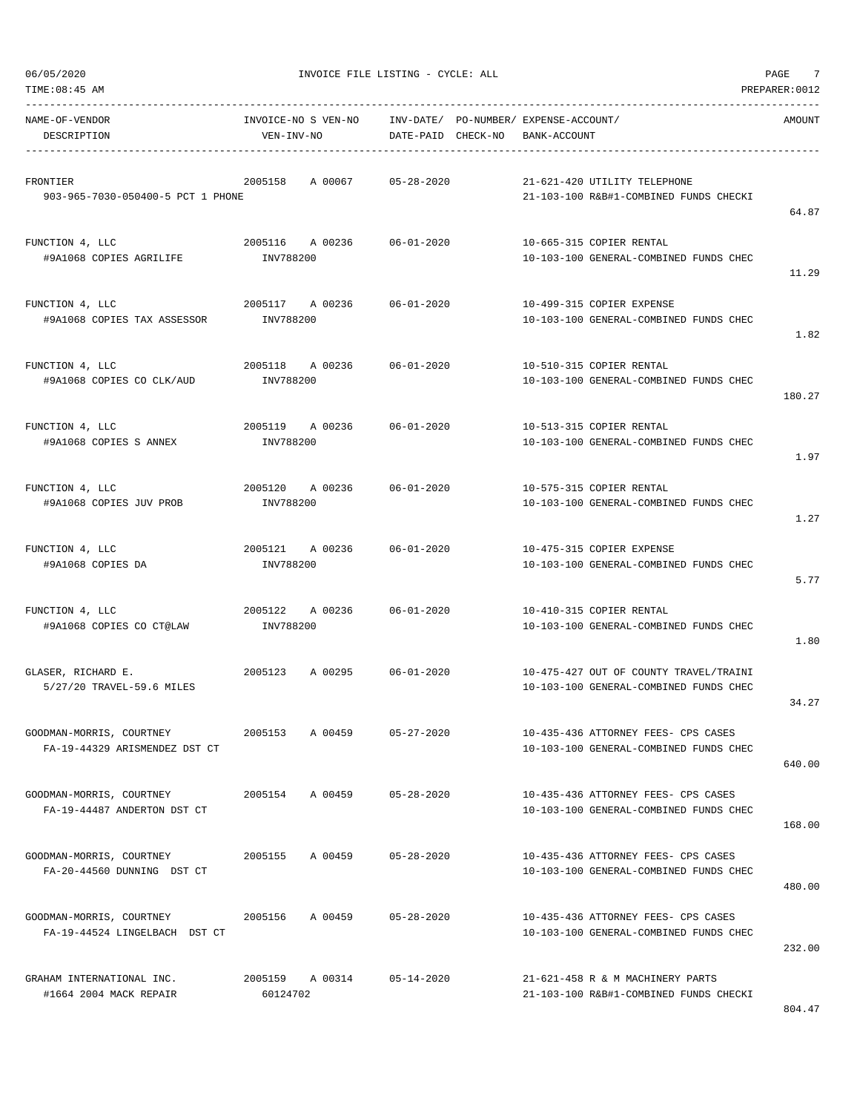$06/05/2020$  PAGE  $7$ 

| TIME:08:45 AM                                             |                                   |                                                             |                                                                                  | PREPARER: 0012 |
|-----------------------------------------------------------|-----------------------------------|-------------------------------------------------------------|----------------------------------------------------------------------------------|----------------|
| NAME-OF-VENDOR<br>DESCRIPTION                             | INVOICE-NO S VEN-NO<br>VEN-INV-NO | INV-DATE/ PO-NUMBER/ EXPENSE-ACCOUNT/<br>DATE-PAID CHECK-NO | BANK-ACCOUNT                                                                     | AMOUNT         |
| FRONTIER<br>903-965-7030-050400-5 PCT 1 PHONE             | 2005158<br>A 00067                | $05 - 28 - 2020$                                            | 21-621-420 UTILITY TELEPHONE<br>21-103-100 R&B#1-COMBINED FUNDS CHECKI           | 64.87          |
| FUNCTION 4, LLC<br>#9A1068 COPIES AGRILIFE                | 2005116 A 00236<br>INV788200      | 06-01-2020                                                  | 10-665-315 COPIER RENTAL<br>10-103-100 GENERAL-COMBINED FUNDS CHEC               | 11.29          |
| FUNCTION 4, LLC<br>#9A1068 COPIES TAX ASSESSOR            | 2005117 A 00236<br>INV788200      | 06-01-2020                                                  | 10-499-315 COPIER EXPENSE<br>10-103-100 GENERAL-COMBINED FUNDS CHEC              | 1.82           |
| FUNCTION 4, LLC<br>#9A1068 COPIES CO CLK/AUD              | 2005118 A 00236<br>INV788200      | 06-01-2020                                                  | 10-510-315 COPIER RENTAL<br>10-103-100 GENERAL-COMBINED FUNDS CHEC               | 180.27         |
| FUNCTION 4, LLC<br>#9A1068 COPIES S ANNEX                 | 2005119 A 00236<br>INV788200      | $06 - 01 - 2020$                                            | 10-513-315 COPIER RENTAL<br>10-103-100 GENERAL-COMBINED FUNDS CHEC               | 1.97           |
| FUNCTION 4, LLC<br>#9A1068 COPIES JUV PROB                | 2005120 A 00236<br>INV788200      | 06-01-2020                                                  | 10-575-315 COPIER RENTAL<br>10-103-100 GENERAL-COMBINED FUNDS CHEC               | 1.27           |
| FUNCTION 4, LLC<br>#9A1068 COPIES DA                      | 2005121 A 00236<br>INV788200      | 06-01-2020                                                  | 10-475-315 COPIER EXPENSE<br>10-103-100 GENERAL-COMBINED FUNDS CHEC              | 5.77           |
| FUNCTION 4, LLC<br>#9A1068 COPIES CO CT@LAW               | A 00236<br>2005122<br>INV788200   | 06-01-2020                                                  | 10-410-315 COPIER RENTAL<br>10-103-100 GENERAL-COMBINED FUNDS CHEC               | 1.80           |
| GLASER, RICHARD E.<br>5/27/20 TRAVEL-59.6 MILES           | 2005123<br>A 00295                | 06-01-2020                                                  | 10-475-427 OUT OF COUNTY TRAVEL/TRAINI<br>10-103-100 GENERAL-COMBINED FUNDS CHEC | 34.27          |
| GOODMAN-MORRIS, COURTNEY<br>FA-19-44329 ARISMENDEZ DST CT | 2005153<br>A 00459                | $05 - 27 - 2020$                                            | 10-435-436 ATTORNEY FEES- CPS CASES<br>10-103-100 GENERAL-COMBINED FUNDS CHEC    | 640.00         |
| GOODMAN-MORRIS, COURTNEY<br>FA-19-44487 ANDERTON DST CT   | 2005154 A 00459                   | 05-28-2020                                                  | 10-435-436 ATTORNEY FEES- CPS CASES<br>10-103-100 GENERAL-COMBINED FUNDS CHEC    | 168.00         |
| GOODMAN-MORRIS, COURTNEY<br>FA-20-44560 DUNNING DST CT    | A 00459<br>2005155                | $05 - 28 - 2020$                                            | 10-435-436 ATTORNEY FEES- CPS CASES<br>10-103-100 GENERAL-COMBINED FUNDS CHEC    | 480.00         |
| GOODMAN-MORRIS, COURTNEY<br>FA-19-44524 LINGELBACH DST CT | 2005156<br>A 00459                | $05 - 28 - 2020$                                            | 10-435-436 ATTORNEY FEES- CPS CASES<br>10-103-100 GENERAL-COMBINED FUNDS CHEC    | 232.00         |
| GRAHAM INTERNATIONAL INC.<br>#1664 2004 MACK REPAIR       | 2005159 A 00314<br>60124702       | $05 - 14 - 2020$                                            | 21-621-458 R & M MACHINERY PARTS<br>21-103-100 R&B#1-COMBINED FUNDS CHECKI       |                |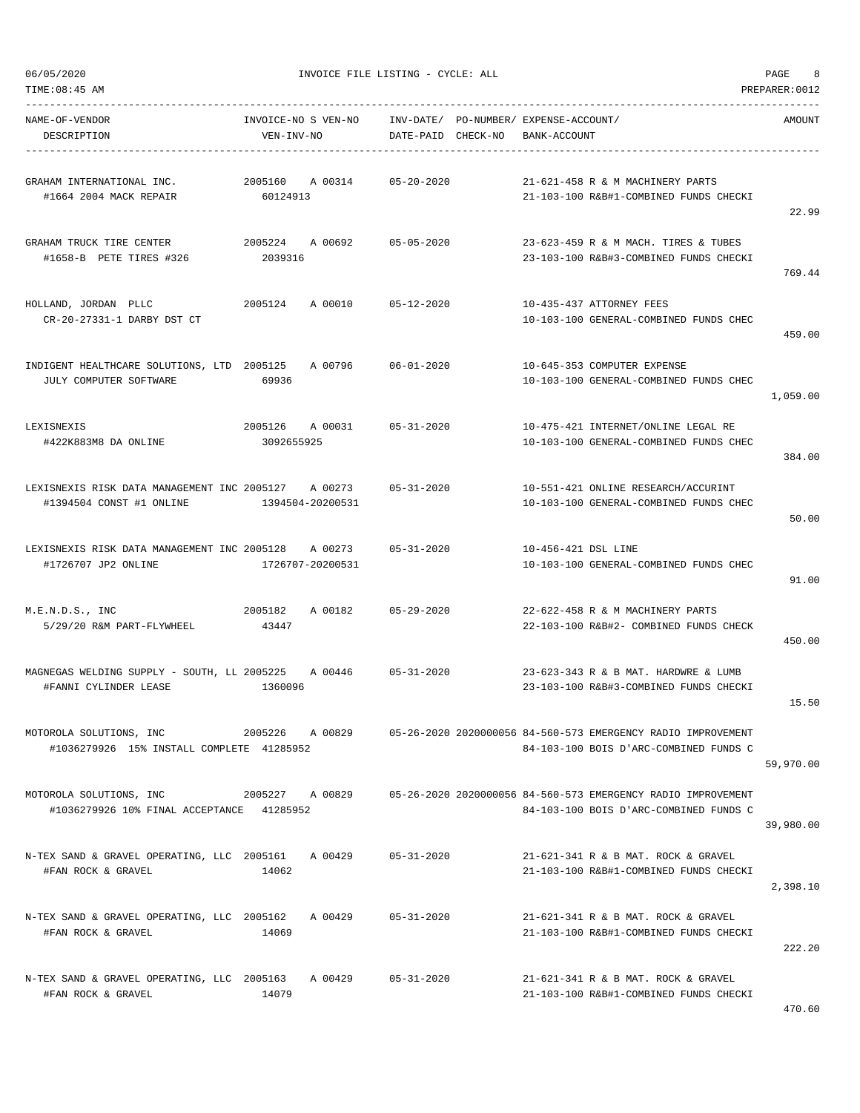TIME:08:45 AM PREPARER:0012 -----------------------------------------------------------------------------------------------------------------------------------

| NAME-OF-VENDOR<br>DESCRIPTION                                                   | INVOICE-NO S VEN-NO<br>VEN-INV-NO |         | DATE-PAID        | CHECK-NO |                     | INV-DATE/ PO-NUMBER/ EXPENSE-ACCOUNT/<br>BANK-ACCOUNT                                                  |           |
|---------------------------------------------------------------------------------|-----------------------------------|---------|------------------|----------|---------------------|--------------------------------------------------------------------------------------------------------|-----------|
| GRAHAM INTERNATIONAL INC.<br>#1664 2004 MACK REPAIR                             | 2005160<br>60124913               | A 00314 | $05 - 20 - 2020$ |          |                     | 21-621-458 R & M MACHINERY PARTS<br>21-103-100 R&B#1-COMBINED FUNDS CHECKI                             | 22.99     |
| GRAHAM TRUCK TIRE CENTER<br>#1658-B PETE TIRES #326                             | 2005224<br>2039316                | A 00692 | $05 - 05 - 2020$ |          |                     | 23-623-459 R & M MACH. TIRES & TUBES<br>23-103-100 R&B#3-COMBINED FUNDS CHECKI                         | 769.44    |
| HOLLAND, JORDAN PLLC<br>CR-20-27331-1 DARBY DST CT                              | 2005124                           | A 00010 | 05-12-2020       |          |                     | 10-435-437 ATTORNEY FEES<br>10-103-100 GENERAL-COMBINED FUNDS CHEC                                     | 459.00    |
| INDIGENT HEALTHCARE SOLUTIONS, LTD 2005125<br>JULY COMPUTER SOFTWARE            | 69936                             | A 00796 | $06 - 01 - 2020$ |          |                     | 10-645-353 COMPUTER EXPENSE<br>10-103-100 GENERAL-COMBINED FUNDS CHEC                                  | 1,059.00  |
| LEXISNEXIS<br>#422K883M8 DA ONLINE                                              | 2005126<br>3092655925             | A 00031 | $05 - 31 - 2020$ |          |                     | 10-475-421 INTERNET/ONLINE LEGAL RE<br>10-103-100 GENERAL-COMBINED FUNDS CHEC                          | 384.00    |
| LEXISNEXIS RISK DATA MANAGEMENT INC 2005127 A 00273<br>#1394504 CONST #1 ONLINE | 1394504-20200531                  |         | $05 - 31 - 2020$ |          |                     | 10-551-421 ONLINE RESEARCH/ACCURINT<br>10-103-100 GENERAL-COMBINED FUNDS CHEC                          | 50.00     |
| LEXISNEXIS RISK DATA MANAGEMENT INC 2005128<br>#1726707 JP2 ONLINE              | 1726707-20200531                  | A 00273 | $05 - 31 - 2020$ |          | 10-456-421 DSL LINE | 10-103-100 GENERAL-COMBINED FUNDS CHEC                                                                 | 91.00     |
| M.E.N.D.S., INC<br>5/29/20 R&M PART-FLYWHEEL                                    | 2005182<br>43447                  | A 00182 | $05 - 29 - 2020$ |          |                     | 22-622-458 R & M MACHINERY PARTS<br>22-103-100 R&B#2- COMBINED FUNDS CHECK                             | 450.00    |
| MAGNEGAS WELDING SUPPLY - SOUTH, LL 2005225<br>#FANNI CYLINDER LEASE            | 1360096                           | A 00446 | $05 - 31 - 2020$ |          |                     | 23-623-343 R & B MAT, HARDWRE & LUMB<br>23-103-100 R&B#3-COMBINED FUNDS CHECKI                         | 15.50     |
| MOTOROLA SOLUTIONS, INC<br>#1036279926 15% INSTALL COMPLETE 41285952            | 2005226                           | A 00829 |                  |          |                     | 05-26-2020 2020000056 84-560-573 EMERGENCY RADIO IMPROVEMENT<br>84-103-100 BOIS D'ARC-COMBINED FUNDS C | 59,970.00 |
| MOTOROLA SOLUTIONS, INC<br>#1036279926 10% FINAL ACCEPTANCE 41285952            | 2005227 A 00829                   |         |                  |          |                     | 05-26-2020 2020000056 84-560-573 EMERGENCY RADIO IMPROVEMENT<br>84-103-100 BOIS D'ARC-COMBINED FUNDS C | 39,980.00 |
| N-TEX SAND & GRAVEL OPERATING, LLC 2005161<br>#FAN ROCK & GRAVEL                | 14062                             | A 00429 | $05 - 31 - 2020$ |          |                     | 21-621-341 R & B MAT, ROCK & GRAVEL<br>21-103-100 R&B#1-COMBINED FUNDS CHECKI                          | 2,398.10  |
| N-TEX SAND & GRAVEL OPERATING, LLC 2005162 A 00429<br>#FAN ROCK & GRAVEL        | 14069                             |         | $05 - 31 - 2020$ |          |                     | 21-621-341 R & B MAT. ROCK & GRAVEL<br>21-103-100 R&B#1-COMBINED FUNDS CHECKI                          | 222.20    |
| N-TEX SAND & GRAVEL OPERATING, LLC 2005163<br>#FAN ROCK & GRAVEL                | 14079                             | A 00429 | $05 - 31 - 2020$ |          |                     | 21-621-341 R & B MAT. ROCK & GRAVEL<br>21-103-100 R&B#1-COMBINED FUNDS CHECKI                          | 470.60    |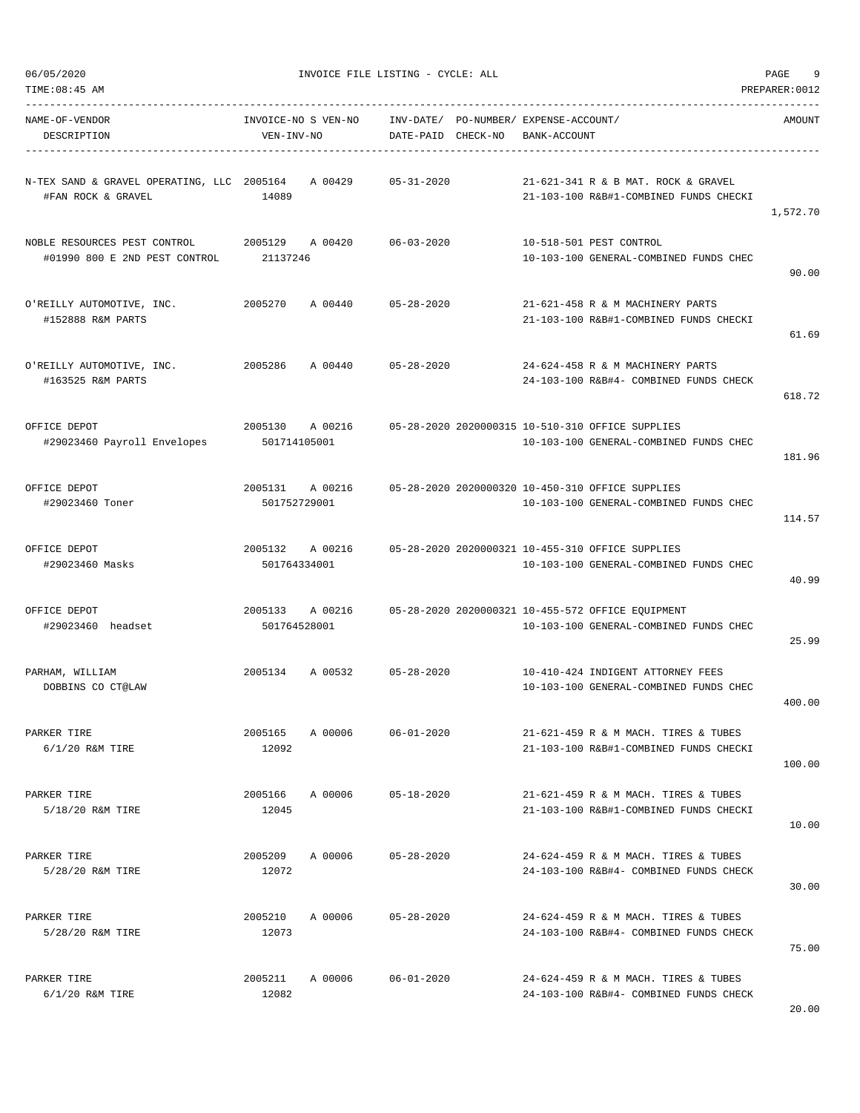| TIME: 08: 45 AM                                                  |                                    |                                                             |                                                                                             | PREPARER: 0012 |
|------------------------------------------------------------------|------------------------------------|-------------------------------------------------------------|---------------------------------------------------------------------------------------------|----------------|
| NAME-OF-VENDOR<br>DESCRIPTION                                    | INVOICE-NO S VEN-NO<br>VEN-INV-NO  | INV-DATE/ PO-NUMBER/ EXPENSE-ACCOUNT/<br>DATE-PAID CHECK-NO | BANK-ACCOUNT                                                                                | AMOUNT         |
| N-TEX SAND & GRAVEL OPERATING, LLC 2005164<br>#FAN ROCK & GRAVEL | A 00429<br>14089                   | 05-31-2020                                                  | 21-621-341 R & B MAT, ROCK & GRAVEL<br>21-103-100 R&B#1-COMBINED FUNDS CHECKI               | 1,572.70       |
| NOBLE RESOURCES PEST CONTROL<br>#01990 800 E 2ND PEST CONTROL    | 2005129 A 00420<br>21137246        | $06 - 03 - 2020$                                            | 10-518-501 PEST CONTROL<br>10-103-100 GENERAL-COMBINED FUNDS CHEC                           | 90.00          |
| O'REILLY AUTOMOTIVE, INC.<br>#152888 R&M PARTS                   | 2005270<br>A 00440                 | 05-28-2020                                                  | 21-621-458 R & M MACHINERY PARTS<br>21-103-100 R&B#1-COMBINED FUNDS CHECKI                  | 61.69          |
| O'REILLY AUTOMOTIVE, INC.<br>#163525 R&M PARTS                   | 2005286<br>A 00440                 | 05-28-2020                                                  | 24-624-458 R & M MACHINERY PARTS<br>24-103-100 R&B#4- COMBINED FUNDS CHECK                  | 618.72         |
| OFFICE DEPOT<br>#29023460 Payroll Envelopes                      | 2005130<br>A 00216<br>501714105001 |                                                             | 05-28-2020 2020000315 10-510-310 OFFICE SUPPLIES<br>10-103-100 GENERAL-COMBINED FUNDS CHEC  | 181.96         |
| OFFICE DEPOT<br>#29023460 Toner                                  | 2005131<br>A 00216<br>501752729001 |                                                             | 05-28-2020 2020000320 10-450-310 OFFICE SUPPLIES<br>10-103-100 GENERAL-COMBINED FUNDS CHEC  | 114.57         |
| OFFICE DEPOT<br>#29023460 Masks                                  | 2005132 A 00216<br>501764334001    |                                                             | 05-28-2020 2020000321 10-455-310 OFFICE SUPPLIES<br>10-103-100 GENERAL-COMBINED FUNDS CHEC  | 40.99          |
| OFFICE DEPOT<br>#29023460 headset                                | 2005133<br>A 00216<br>501764528001 |                                                             | 05-28-2020 2020000321 10-455-572 OFFICE EQUIPMENT<br>10-103-100 GENERAL-COMBINED FUNDS CHEC | 25.99          |
| PARHAM, WILLIAM<br>DOBBINS CO CT@LAW                             | 2005134<br>A 00532                 | $05 - 28 - 2020$                                            | 10-410-424 INDIGENT ATTORNEY FEES<br>10-103-100 GENERAL-COMBINED FUNDS CHEC                 | 400.00         |
| PARKER TIRE<br>6/1/20 R&M TIRE                                   | A 00006<br>2005165<br>12092        | $06 - 01 - 2020$                                            | 21-621-459 R & M MACH. TIRES & TUBES<br>21-103-100 R&B#1-COMBINED FUNDS CHECKI              | 100.00         |
| PARKER TIRE<br>5/18/20 R&M TIRE                                  | A 00006<br>2005166<br>12045        | $05 - 18 - 2020$                                            | 21-621-459 R & M MACH. TIRES & TUBES<br>21-103-100 R&B#1-COMBINED FUNDS CHECKI              | 10.00          |
| PARKER TIRE<br>5/28/20 R&M TIRE                                  | 2005209<br>A 00006<br>12072        | $05 - 28 - 2020$                                            | 24-624-459 R & M MACH. TIRES & TUBES<br>24-103-100 R&B#4- COMBINED FUNDS CHECK              | 30.00          |
| PARKER TIRE<br>5/28/20 R&M TIRE                                  | 2005210<br>A 00006<br>12073        | $05 - 28 - 2020$                                            | 24-624-459 R & M MACH. TIRES & TUBES<br>24-103-100 R&B#4- COMBINED FUNDS CHECK              | 75.00          |
| PARKER TIRE<br>$6/1/20$ R&M TIRE                                 | 2005211<br>A 00006<br>12082        | $06 - 01 - 2020$                                            | 24-624-459 R & M MACH. TIRES & TUBES<br>24-103-100 R&B#4- COMBINED FUNDS CHECK              |                |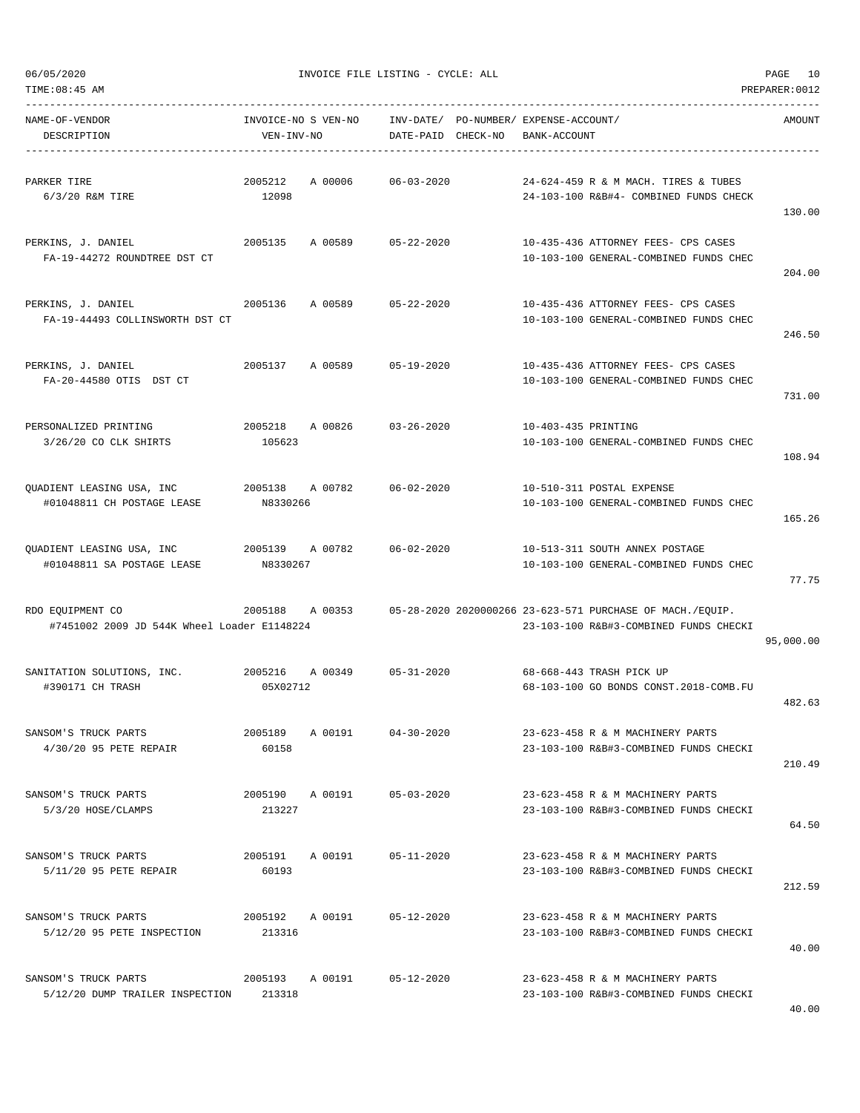| TIME: 08:45 AM                                                  |                                   |         |                        |          |                                                                                                     | PREPARER: 0012 |
|-----------------------------------------------------------------|-----------------------------------|---------|------------------------|----------|-----------------------------------------------------------------------------------------------------|----------------|
| NAME-OF-VENDOR<br>DESCRIPTION                                   | INVOICE-NO S VEN-NO<br>VEN-INV-NO |         | INV-DATE/<br>DATE-PAID | CHECK-NO | PO-NUMBER/ EXPENSE-ACCOUNT/<br>BANK-ACCOUNT                                                         | AMOUNT         |
| PARKER TIRE<br>$6/3/20$ R&M TIRE                                | 2005212<br>12098                  | A 00006 | $06 - 03 - 2020$       |          | 24-624-459 R & M MACH. TIRES & TUBES<br>24-103-100 R&B#4- COMBINED FUNDS CHECK                      | 130.00         |
| PERKINS, J. DANIEL<br>FA-19-44272 ROUNDTREE DST CT              | 2005135                           | A 00589 | $05 - 22 - 2020$       |          | 10-435-436 ATTORNEY FEES- CPS CASES<br>10-103-100 GENERAL-COMBINED FUNDS CHEC                       | 204.00         |
| PERKINS, J. DANIEL<br>FA-19-44493 COLLINSWORTH DST CT           | 2005136                           | A 00589 | $05 - 22 - 2020$       |          | 10-435-436 ATTORNEY FEES- CPS CASES<br>10-103-100 GENERAL-COMBINED FUNDS CHEC                       | 246.50         |
| PERKINS, J. DANIEL<br>FA-20-44580 OTIS DST CT                   | 2005137                           | A 00589 | $05 - 19 - 2020$       |          | 10-435-436 ATTORNEY FEES- CPS CASES<br>10-103-100 GENERAL-COMBINED FUNDS CHEC                       | 731.00         |
| PERSONALIZED PRINTING<br>3/26/20 CO CLK SHIRTS                  | 2005218<br>105623                 | A 00826 | $03 - 26 - 2020$       |          | 10-403-435 PRINTING<br>10-103-100 GENERAL-COMBINED FUNDS CHEC                                       | 108.94         |
| QUADIENT LEASING USA, INC<br>#01048811 CH POSTAGE LEASE         | 2005138<br>N8330266               | A 00782 | $06 - 02 - 2020$       |          | 10-510-311 POSTAL EXPENSE<br>10-103-100 GENERAL-COMBINED FUNDS CHEC                                 | 165.26         |
| QUADIENT LEASING USA, INC<br>#01048811 SA POSTAGE LEASE         | 2005139<br>N8330267               | A 00782 | $06 - 02 - 2020$       |          | 10-513-311 SOUTH ANNEX POSTAGE<br>10-103-100 GENERAL-COMBINED FUNDS CHEC                            | 77.75          |
| RDO EQUIPMENT CO<br>#7451002 2009 JD 544K Wheel Loader E1148224 | 2005188                           | A 00353 |                        |          | 05-28-2020 2020000266 23-623-571 PURCHASE OF MACH./EQUIP.<br>23-103-100 R&B#3-COMBINED FUNDS CHECKI | 95,000.00      |
| SANITATION SOLUTIONS, INC.<br>#390171 CH TRASH                  | 2005216<br>05X02712               | A 00349 | $05 - 31 - 2020$       |          | 68-668-443 TRASH PICK UP<br>68-103-100 GO BONDS CONST.2018-COMB.FU                                  | 482.63         |
| SANSOM'S TRUCK PARTS<br>4/30/20 95 PETE REPAIR                  | 2005189<br>60158                  | A 00191 | $04 - 30 - 2020$       |          | 23-623-458 R & M MACHINERY PARTS<br>23-103-100 R&B#3-COMBINED FUNDS CHECKI                          | 210.49         |
| SANSOM'S TRUCK PARTS<br>5/3/20 HOSE/CLAMPS                      | 2005190<br>213227                 | A 00191 | $05 - 03 - 2020$       |          | 23-623-458 R & M MACHINERY PARTS<br>23-103-100 R&B#3-COMBINED FUNDS CHECKI                          | 64.50          |
| SANSOM'S TRUCK PARTS<br>5/11/20 95 PETE REPAIR                  | 2005191<br>60193                  | A 00191 | $05 - 11 - 2020$       |          | 23-623-458 R & M MACHINERY PARTS<br>23-103-100 R&B#3-COMBINED FUNDS CHECKI                          | 212.59         |
| SANSOM'S TRUCK PARTS<br>5/12/20 95 PETE INSPECTION              | 2005192<br>213316                 | A 00191 | $05 - 12 - 2020$       |          | 23-623-458 R & M MACHINERY PARTS<br>23-103-100 R&B#3-COMBINED FUNDS CHECKI                          | 40.00          |
| SANSOM'S TRUCK PARTS<br>5/12/20 DUMP TRAILER INSPECTION         | 2005193<br>213318                 | A 00191 | $05 - 12 - 2020$       |          | 23-623-458 R & M MACHINERY PARTS<br>23-103-100 R&B#3-COMBINED FUNDS CHECKI                          |                |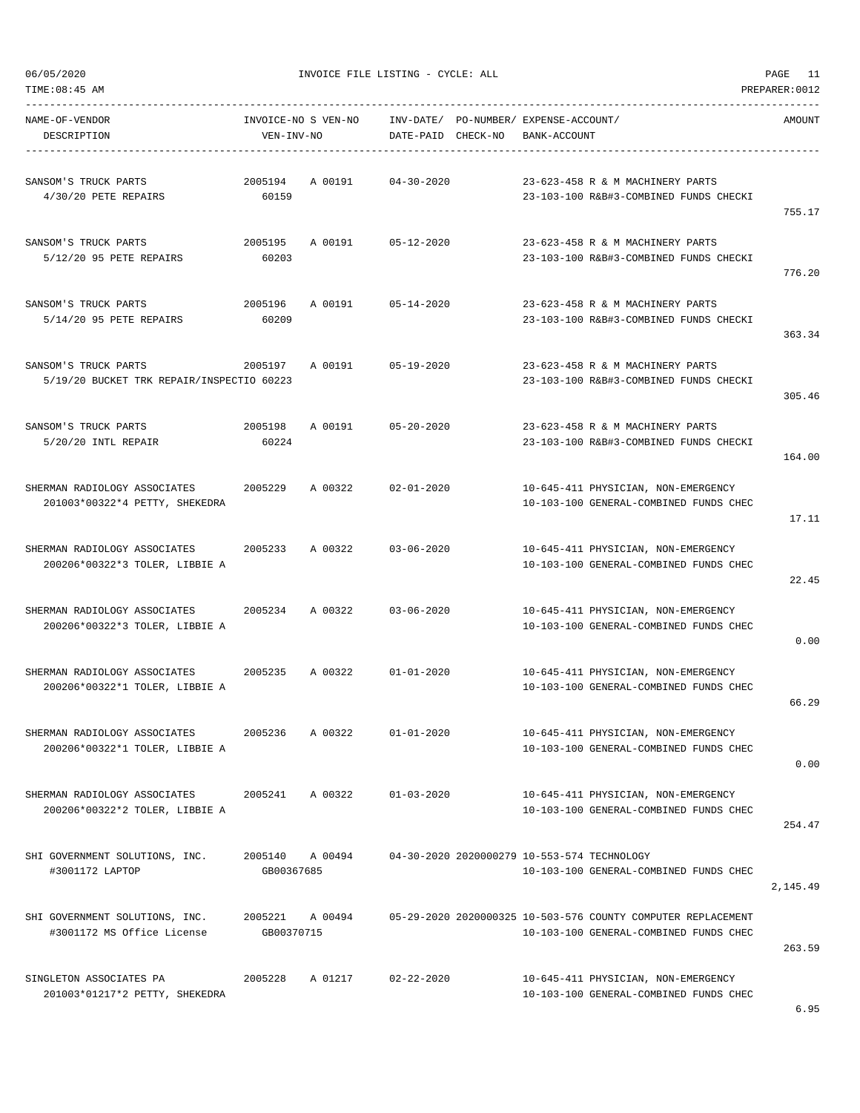| SANSOM'S TRUCK PARTS<br>4/30/20 PETE REPAIRS                      | 2005194<br>60159      | A 00191         | $04 - 30 - 2020$                            |  | 23-623-458 R & M MACHINERY PARTS<br>23-103-100 R&B#3-COMBINED FUNDS CHECKI                             | 755.17   |
|-------------------------------------------------------------------|-----------------------|-----------------|---------------------------------------------|--|--------------------------------------------------------------------------------------------------------|----------|
| SANSOM'S TRUCK PARTS<br>5/12/20 95 PETE REPAIRS                   | 2005195<br>60203      | A 00191         | $05 - 12 - 2020$                            |  | 23-623-458 R & M MACHINERY PARTS<br>23-103-100 R&B#3-COMBINED FUNDS CHECKI                             | 776.20   |
| SANSOM'S TRUCK PARTS<br>5/14/20 95 PETE REPAIRS                   | 2005196<br>60209      | A 00191         | $05 - 14 - 2020$                            |  | 23-623-458 R & M MACHINERY PARTS<br>23-103-100 R&B#3-COMBINED FUNDS CHECKI                             | 363.34   |
| SANSOM'S TRUCK PARTS<br>5/19/20 BUCKET TRK REPAIR/INSPECTIO 60223 | 2005197               | A 00191         | $05 - 19 - 2020$                            |  | 23-623-458 R & M MACHINERY PARTS<br>23-103-100 R&B#3-COMBINED FUNDS CHECKI                             | 305.46   |
| SANSOM'S TRUCK PARTS<br>5/20/20 INTL REPAIR                       | 2005198<br>60224      | A 00191         | $05 - 20 - 2020$                            |  | 23-623-458 R & M MACHINERY PARTS<br>23-103-100 R&B#3-COMBINED FUNDS CHECKI                             | 164.00   |
| SHERMAN RADIOLOGY ASSOCIATES<br>201003*00322*4 PETTY, SHEKEDRA    | 2005229               | A 00322         | $02 - 01 - 2020$                            |  | 10-645-411 PHYSICIAN, NON-EMERGENCY<br>10-103-100 GENERAL-COMBINED FUNDS CHEC                          | 17.11    |
| SHERMAN RADIOLOGY ASSOCIATES<br>200206*00322*3 TOLER, LIBBIE A    | 2005233               | A 00322         | $03 - 06 - 2020$                            |  | 10-645-411 PHYSICIAN, NON-EMERGENCY<br>10-103-100 GENERAL-COMBINED FUNDS CHEC                          | 22.45    |
| SHERMAN RADIOLOGY ASSOCIATES<br>200206*00322*3 TOLER, LIBBIE A    | 2005234               | A 00322         | $03 - 06 - 2020$                            |  | 10-645-411 PHYSICIAN, NON-EMERGENCY<br>10-103-100 GENERAL-COMBINED FUNDS CHEC                          | 0.00     |
| SHERMAN RADIOLOGY ASSOCIATES<br>200206*00322*1 TOLER, LIBBIE A    | 2005235               | A 00322         | $01 - 01 - 2020$                            |  | 10-645-411 PHYSICIAN, NON-EMERGENCY<br>10-103-100 GENERAL-COMBINED FUNDS CHEC                          | 66.29    |
| SHERMAN RADIOLOGY ASSOCIATES<br>200206*00322*1 TOLER, LIBBIE A    | 2005236               | A 00322         | $01 - 01 - 2020$                            |  | 10-645-411 PHYSICIAN, NON-EMERGENCY<br>10-103-100 GENERAL-COMBINED FUNDS CHEC                          | 0.00     |
| SHERMAN RADIOLOGY ASSOCIATES<br>200206*00322*2 TOLER, LIBBIE A    | 2005241               | A 00322         | $01 - 03 - 2020$                            |  | 10-645-411 PHYSICIAN, NON-EMERGENCY<br>10-103-100 GENERAL-COMBINED FUNDS CHEC                          | 254.47   |
| SHI GOVERNMENT SOLUTIONS, INC.<br>#3001172 LAPTOP                 | GB00367685            | 2005140 A 00494 | 04-30-2020 2020000279 10-553-574 TECHNOLOGY |  | 10-103-100 GENERAL-COMBINED FUNDS CHEC                                                                 | 2,145.49 |
| SHI GOVERNMENT SOLUTIONS, INC.<br>#3001172 MS Office License      | 2005221<br>GB00370715 | A 00494         |                                             |  | 05-29-2020 2020000325 10-503-576 COUNTY COMPUTER REPLACEMENT<br>10-103-100 GENERAL-COMBINED FUNDS CHEC | 263.59   |
| SINGLETON ASSOCIATES PA<br>201003*01217*2 PETTY, SHEKEDRA         | 2005228               | A 01217         | $02 - 22 - 2020$                            |  | 10-645-411 PHYSICIAN, NON-EMERGENCY<br>10-103-100 GENERAL-COMBINED FUNDS CHEC                          |          |

DESCRIPTION VEN-INV-NO DATE-PAID CHECK-NO BANK-ACCOUNT

----------------------------------------------------------------------------------------------------------------------------------- NAME-OF-VENDOR INVOICE-NO S VEN-NO INV-DATE/ PO-NUMBER/ EXPENSE-ACCOUNT/ AMOUNT

TIME:08:45 AM PREPARER:0012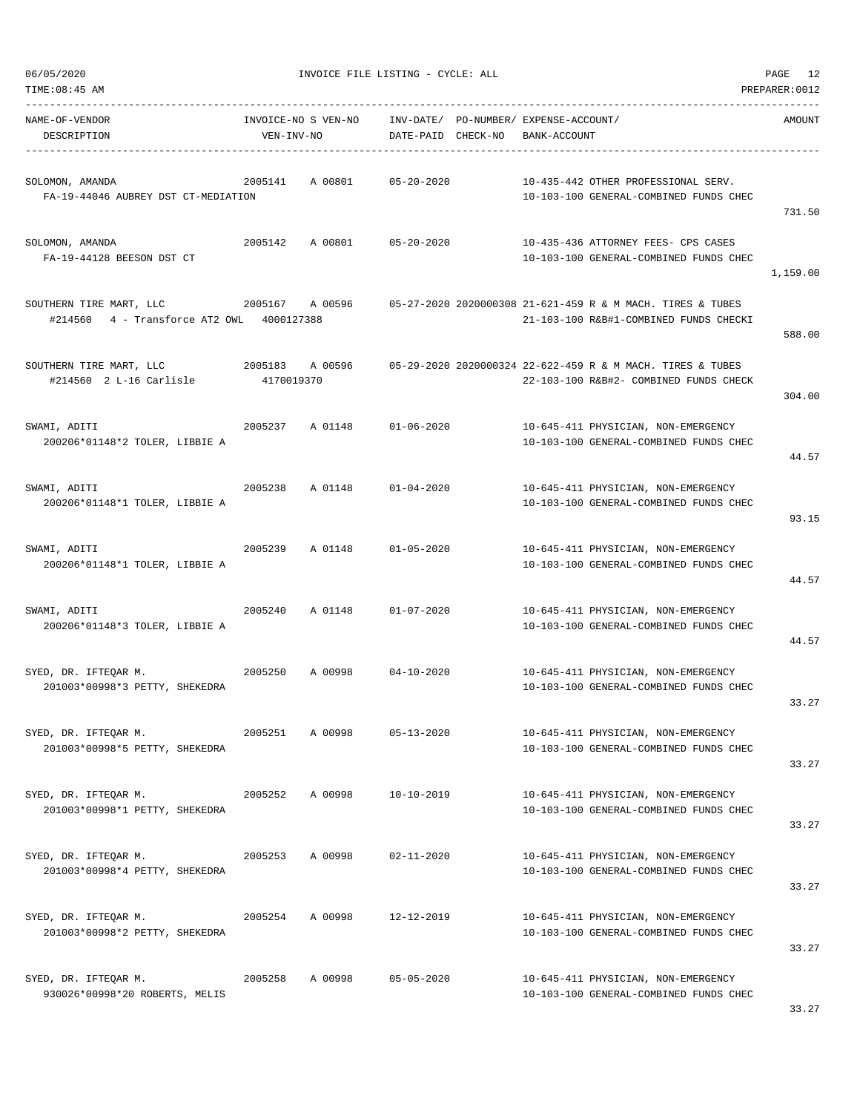| TIME: 08:45 AM                                                       |                 |         |                                                                                 |              |                                                                                                                                | PREPARER: 0012 |
|----------------------------------------------------------------------|-----------------|---------|---------------------------------------------------------------------------------|--------------|--------------------------------------------------------------------------------------------------------------------------------|----------------|
| NAME-OF-VENDOR<br>DESCRIPTION                                        | VEN-INV-NO      |         | INVOICE-NO S VEN-NO INV-DATE/ PO-NUMBER/ EXPENSE-ACCOUNT/<br>DATE-PAID CHECK-NO | BANK-ACCOUNT |                                                                                                                                | AMOUNT         |
| SOLOMON, AMANDA<br>FA-19-44046 AUBREY DST CT-MEDIATION               |                 |         | 2005141 A 00801 05-20-2020                                                      |              | 10-435-442 OTHER PROFESSIONAL SERV.<br>10-103-100 GENERAL-COMBINED FUNDS CHEC                                                  | 731.50         |
| SOLOMON, AMANDA<br>FA-19-44128 BEESON DST CT                         |                 |         | 2005142 A 00801 05-20-2020                                                      |              | 10-435-436 ATTORNEY FEES- CPS CASES<br>10-103-100 GENERAL-COMBINED FUNDS CHEC                                                  | 1,159.00       |
| SOUTHERN TIRE MART, LLC<br>#214560 4 - Transforce AT2 OWL 4000127388 |                 |         |                                                                                 |              | 2005167     A 00596       05-27-2020 2020000308 21-621-459 R & M MACH. TIRES & TUBES<br>21-103-100 R&B#1-COMBINED FUNDS CHECKI | 588.00         |
| SOUTHERN TIRE MART, LLC<br>#214560 2 L-16 Carlisle                   | 4170019370      |         |                                                                                 |              | 2005183 A 00596 05-29-2020 2020000324 22-622-459 R & M MACH. TIRES & TUBES<br>22-103-100 R&B#2- COMBINED FUNDS CHECK           | 304.00         |
| SWAMI, ADITI<br>200206*01148*2 TOLER, LIBBIE A                       |                 |         | 2005237 A 01148 01-06-2020                                                      |              | 10-645-411 PHYSICIAN, NON-EMERGENCY<br>10-103-100 GENERAL-COMBINED FUNDS CHEC                                                  | 44.57          |
| SWAMI, ADITI<br>200206*01148*1 TOLER, LIBBIE A                       | 2005238         |         | A 01148 01-04-2020                                                              |              | 10-645-411 PHYSICIAN, NON-EMERGENCY<br>10-103-100 GENERAL-COMBINED FUNDS CHEC                                                  | 93.15          |
| SWAMI, ADITI<br>200206*01148*1 TOLER, LIBBIE A                       |                 |         | 2005239 A 01148 01-05-2020                                                      |              | 10-645-411 PHYSICIAN, NON-EMERGENCY<br>10-103-100 GENERAL-COMBINED FUNDS CHEC                                                  | 44.57          |
| SWAMI, ADITI<br>200206*01148*3 TOLER, LIBBIE A                       | 2005240         | A 01148 | $01 - 07 - 2020$                                                                |              | 10-645-411 PHYSICIAN, NON-EMERGENCY<br>10-103-100 GENERAL-COMBINED FUNDS CHEC                                                  | 44.57          |
| SYED, DR. IFTEQAR M.<br>2005250<br>201003*00998*3 PETTY, SHEKEDRA    |                 |         | A 00998 04-10-2020                                                              |              | 10-645-411 PHYSICIAN, NON-EMERGENCY<br>10-103-100 GENERAL-COMBINED FUNDS CHEC                                                  | 33.27          |
| SYED, DR. IFTEQAR M.<br>201003*00998*5 PETTY, SHEKEDRA               | 2005251 A 00998 |         | 05-13-2020                                                                      |              | 10-645-411 PHYSICIAN, NON-EMERGENCY<br>10-103-100 GENERAL-COMBINED FUNDS CHEC                                                  | 33.27          |
| SYED, DR. IFTEQAR M.<br>201003*00998*1 PETTY, SHEKEDRA               | 2005252         | A 00998 | 10-10-2019                                                                      |              | 10-645-411 PHYSICIAN, NON-EMERGENCY<br>10-103-100 GENERAL-COMBINED FUNDS CHEC                                                  | 33.27          |
| SYED, DR. IFTEQAR M.<br>201003*00998*4 PETTY, SHEKEDRA               | 2005253 A 00998 |         | $02 - 11 - 2020$                                                                |              | 10-645-411 PHYSICIAN, NON-EMERGENCY<br>10-103-100 GENERAL-COMBINED FUNDS CHEC                                                  | 33.27          |
| SYED, DR. IFTEQAR M.<br>201003*00998*2 PETTY, SHEKEDRA               | 2005254         | A 00998 | 12-12-2019                                                                      |              | 10-645-411 PHYSICIAN, NON-EMERGENCY<br>10-103-100 GENERAL-COMBINED FUNDS CHEC                                                  | 33.27          |
| SYED, DR. IFTEQAR M.<br>930026*00998*20 ROBERTS, MELIS               | 2005258         | A 00998 | $05 - 05 - 2020$                                                                |              | 10-645-411 PHYSICIAN, NON-EMERGENCY<br>10-103-100 GENERAL-COMBINED FUNDS CHEC                                                  |                |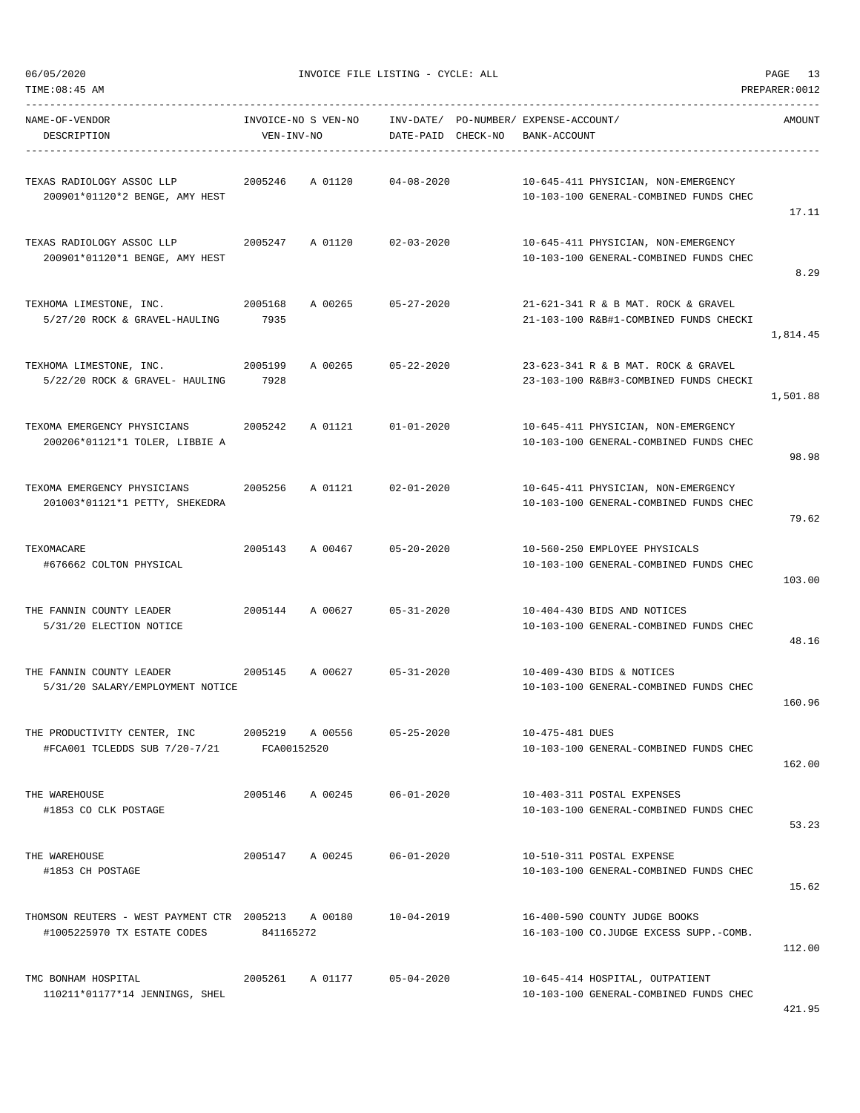| NAME-OF-VENDOR<br>DESCRIPTION                                                     | ------------------------<br>VEN-INV-NO | INVOICE-NO S VEN-NO INV-DATE/ PO-NUMBER/ EXPENSE-ACCOUNT/<br>DATE-PAID CHECK-NO | BANK-ACCOUNT                                                                  | AMOUNT   |
|-----------------------------------------------------------------------------------|----------------------------------------|---------------------------------------------------------------------------------|-------------------------------------------------------------------------------|----------|
| TEXAS RADIOLOGY ASSOC LLP<br>200901*01120*2 BENGE, AMY HEST                       | 2005246 A 01120                        | 04-08-2020                                                                      | 10-645-411 PHYSICIAN, NON-EMERGENCY<br>10-103-100 GENERAL-COMBINED FUNDS CHEC | 17.11    |
| TEXAS RADIOLOGY ASSOC LLP<br>200901*01120*1 BENGE, AMY HEST                       |                                        | 2005247 A 01120 02-03-2020                                                      | 10-645-411 PHYSICIAN, NON-EMERGENCY<br>10-103-100 GENERAL-COMBINED FUNDS CHEC | 8.29     |
| 2005168<br>TEXHOMA LIMESTONE, INC.<br>5/27/20 ROCK & GRAVEL-HAULING               | A 00265<br>7935                        | $05 - 27 - 2020$                                                                | 21-621-341 R & B MAT. ROCK & GRAVEL<br>21-103-100 R&B#1-COMBINED FUNDS CHECKI | 1,814.45 |
| TEXHOMA LIMESTONE, INC. 2005199<br>5/22/20 ROCK & GRAVEL- HAULING 7928            | A 00265                                | $05 - 22 - 2020$                                                                | 23-623-341 R & B MAT. ROCK & GRAVEL<br>23-103-100 R&B#3-COMBINED FUNDS CHECKI | 1,501.88 |
| TEXOMA EMERGENCY PHYSICIANS<br>200206*01121*1 TOLER, LIBBIE A                     | 2005242 A 01121                        | 01-01-2020                                                                      | 10-645-411 PHYSICIAN, NON-EMERGENCY<br>10-103-100 GENERAL-COMBINED FUNDS CHEC | 98.98    |
| TEXOMA EMERGENCY PHYSICIANS<br>201003*01121*1 PETTY, SHEKEDRA                     | 2005256                                | A 01121 02-01-2020                                                              | 10-645-411 PHYSICIAN, NON-EMERGENCY<br>10-103-100 GENERAL-COMBINED FUNDS CHEC | 79.62    |
| TEXOMACARE<br>#676662 COLTON PHYSICAL                                             | 2005143 A 00467                        | $05 - 20 - 2020$                                                                | 10-560-250 EMPLOYEE PHYSICALS<br>10-103-100 GENERAL-COMBINED FUNDS CHEC       | 103.00   |
| THE FANNIN COUNTY LEADER<br>5/31/20 ELECTION NOTICE                               | 2005144 A 00627                        | $05 - 31 - 2020$                                                                | 10-404-430 BIDS AND NOTICES<br>10-103-100 GENERAL-COMBINED FUNDS CHEC         | 48.16    |
| 5/31/20 SALARY/EMPLOYMENT NOTICE                                                  |                                        |                                                                                 | 10-409-430 BIDS & NOTICES<br>10-103-100 GENERAL-COMBINED FUNDS CHEC           | 160.96   |
| THE PRODUCTIVITY CENTER, INC<br>#FCA001 TCLEDDS SUB 7/20-7/21                     | 2005219<br>A 00556<br>FCA00152520      | $05 - 25 - 2020$                                                                | 10-475-481 DUES<br>10-103-100 GENERAL-COMBINED FUNDS CHEC                     | 162.00   |
| THE WAREHOUSE<br>#1853 CO CLK POSTAGE                                             | 2005146<br>A 00245                     | $06 - 01 - 2020$                                                                | 10-403-311 POSTAL EXPENSES<br>10-103-100 GENERAL-COMBINED FUNDS CHEC          | 53.23    |
| THE WAREHOUSE<br>#1853 CH POSTAGE                                                 | 2005147 A 00245                        | 06-01-2020                                                                      | 10-510-311 POSTAL EXPENSE<br>10-103-100 GENERAL-COMBINED FUNDS CHEC           | 15.62    |
| THOMSON REUTERS - WEST PAYMENT CTR 2005213 A 00180<br>#1005225970 TX ESTATE CODES | 841165272                              | 10-04-2019                                                                      | 16-400-590 COUNTY JUDGE BOOKS<br>16-103-100 CO.JUDGE EXCESS SUPP.-COMB.       | 112.00   |
| TMC BONHAM HOSPITAL<br>110211*01177*14 JENNINGS, SHEL                             | 2005261 A 01177                        | 05-04-2020                                                                      | 10-645-414 HOSPITAL, OUTPATIENT<br>10-103-100 GENERAL-COMBINED FUNDS CHEC     | 421.95   |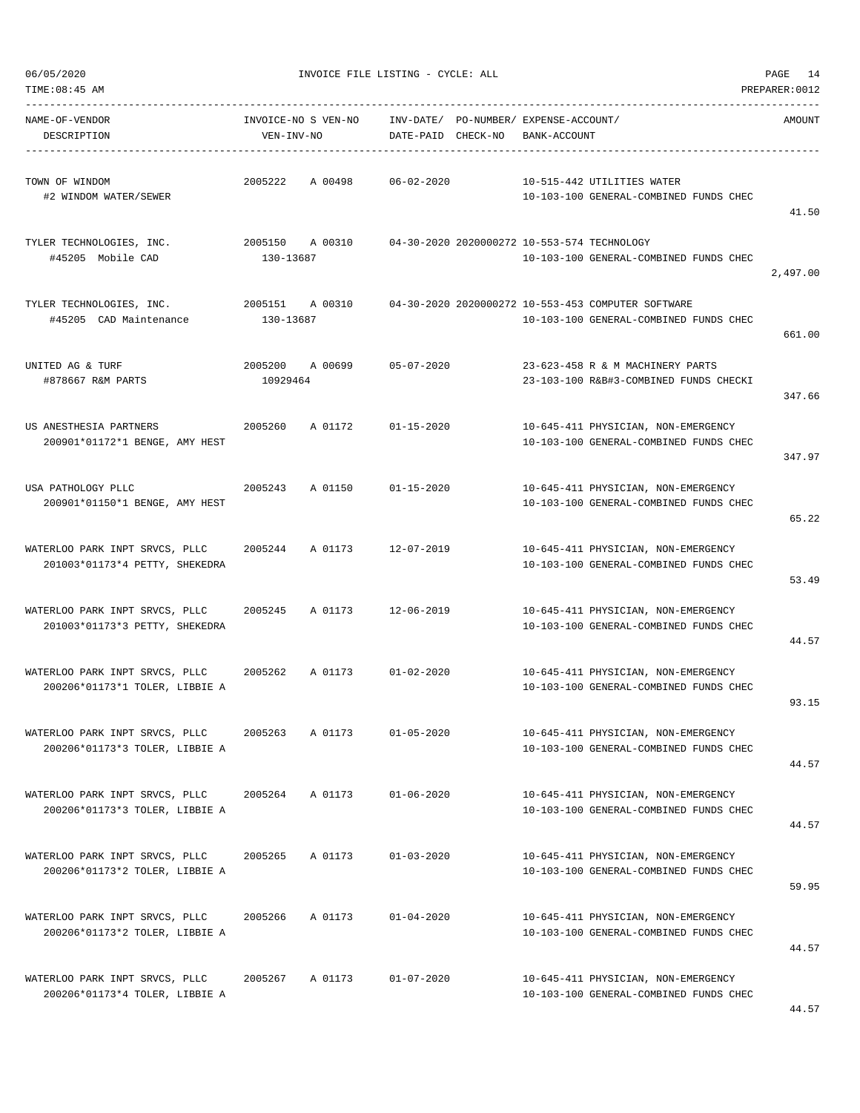| TIME:08:45 AM                                                    |                                   |         |                                             |                                                       |                                                                                              | PREPARER: 0012 |
|------------------------------------------------------------------|-----------------------------------|---------|---------------------------------------------|-------------------------------------------------------|----------------------------------------------------------------------------------------------|----------------|
| NAME-OF-VENDOR<br>DESCRIPTION                                    | INVOICE-NO S VEN-NO<br>VEN-INV-NO |         | DATE-PAID CHECK-NO                          | INV-DATE/ PO-NUMBER/ EXPENSE-ACCOUNT/<br>BANK-ACCOUNT |                                                                                              | AMOUNT         |
| TOWN OF WINDOM<br>#2 WINDOM WATER/SEWER                          | 2005222                           | A 00498 | $06 - 02 - 2020$                            |                                                       | 10-515-442 UTILITIES WATER<br>10-103-100 GENERAL-COMBINED FUNDS CHEC                         | 41.50          |
| TYLER TECHNOLOGIES, INC.<br>#45205 Mobile CAD                    | 2005150<br>130-13687              | A 00310 | 04-30-2020 2020000272 10-553-574 TECHNOLOGY |                                                       | 10-103-100 GENERAL-COMBINED FUNDS CHEC                                                       | 2,497.00       |
| TYLER TECHNOLOGIES, INC.<br>#45205 CAD Maintenance               | 2005151 A 00310<br>130-13687      |         |                                             |                                                       | 04-30-2020 2020000272 10-553-453 COMPUTER SOFTWARE<br>10-103-100 GENERAL-COMBINED FUNDS CHEC | 661.00         |
| UNITED AG & TURF<br>#878667 R&M PARTS                            | 2005200 A 00699<br>10929464       |         | 05-07-2020                                  |                                                       | 23-623-458 R & M MACHINERY PARTS<br>23-103-100 R&B#3-COMBINED FUNDS CHECKI                   | 347.66         |
| US ANESTHESIA PARTNERS<br>200901*01172*1 BENGE, AMY HEST         | 2005260                           | A 01172 | $01 - 15 - 2020$                            |                                                       | 10-645-411 PHYSICIAN, NON-EMERGENCY<br>10-103-100 GENERAL-COMBINED FUNDS CHEC                | 347.97         |
| USA PATHOLOGY PLLC<br>200901*01150*1 BENGE, AMY HEST             | 2005243                           | A 01150 | $01 - 15 - 2020$                            |                                                       | 10-645-411 PHYSICIAN, NON-EMERGENCY<br>10-103-100 GENERAL-COMBINED FUNDS CHEC                | 65.22          |
| WATERLOO PARK INPT SRVCS, PLLC<br>201003*01173*4 PETTY, SHEKEDRA | 2005244 A 01173                   |         | 12-07-2019                                  |                                                       | 10-645-411 PHYSICIAN, NON-EMERGENCY<br>10-103-100 GENERAL-COMBINED FUNDS CHEC                | 53.49          |
| WATERLOO PARK INPT SRVCS, PLLC<br>201003*01173*3 PETTY, SHEKEDRA | 2005245                           | A 01173 | 12-06-2019                                  |                                                       | 10-645-411 PHYSICIAN, NON-EMERGENCY<br>10-103-100 GENERAL-COMBINED FUNDS CHEC                | 44.57          |
| WATERLOO PARK INPT SRVCS, PLLC<br>200206*01173*1 TOLER, LIBBIE A | 2005262                           | A 01173 | $01 - 02 - 2020$                            |                                                       | 10-645-411 PHYSICIAN, NON-EMERGENCY<br>10-103-100 GENERAL-COMBINED FUNDS CHEC                | 93.15          |
| WATERLOO PARK INPT SRVCS, PLLC<br>200206*01173*3 TOLER, LIBBIE A | 2005263                           | A 01173 | $01 - 05 - 2020$                            |                                                       | 10-645-411 PHYSICIAN, NON-EMERGENCY<br>10-103-100 GENERAL-COMBINED FUNDS CHEC                | 44.57          |
| WATERLOO PARK INPT SRVCS, PLLC<br>200206*01173*3 TOLER, LIBBIE A | 2005264 A 01173                   |         | $01 - 06 - 2020$                            |                                                       | 10-645-411 PHYSICIAN, NON-EMERGENCY<br>10-103-100 GENERAL-COMBINED FUNDS CHEC                | 44.57          |
| WATERLOO PARK INPT SRVCS, PLLC<br>200206*01173*2 TOLER, LIBBIE A | 2005265                           | A 01173 | $01 - 03 - 2020$                            |                                                       | 10-645-411 PHYSICIAN, NON-EMERGENCY<br>10-103-100 GENERAL-COMBINED FUNDS CHEC                | 59.95          |
| WATERLOO PARK INPT SRVCS, PLLC<br>200206*01173*2 TOLER, LIBBIE A | 2005266                           | A 01173 | $01 - 04 - 2020$                            |                                                       | 10-645-411 PHYSICIAN, NON-EMERGENCY<br>10-103-100 GENERAL-COMBINED FUNDS CHEC                | 44.57          |
| WATERLOO PARK INPT SRVCS, PLLC<br>200206*01173*4 TOLER, LIBBIE A | 2005267                           | A 01173 | $01 - 07 - 2020$                            |                                                       | 10-645-411 PHYSICIAN, NON-EMERGENCY<br>10-103-100 GENERAL-COMBINED FUNDS CHEC                |                |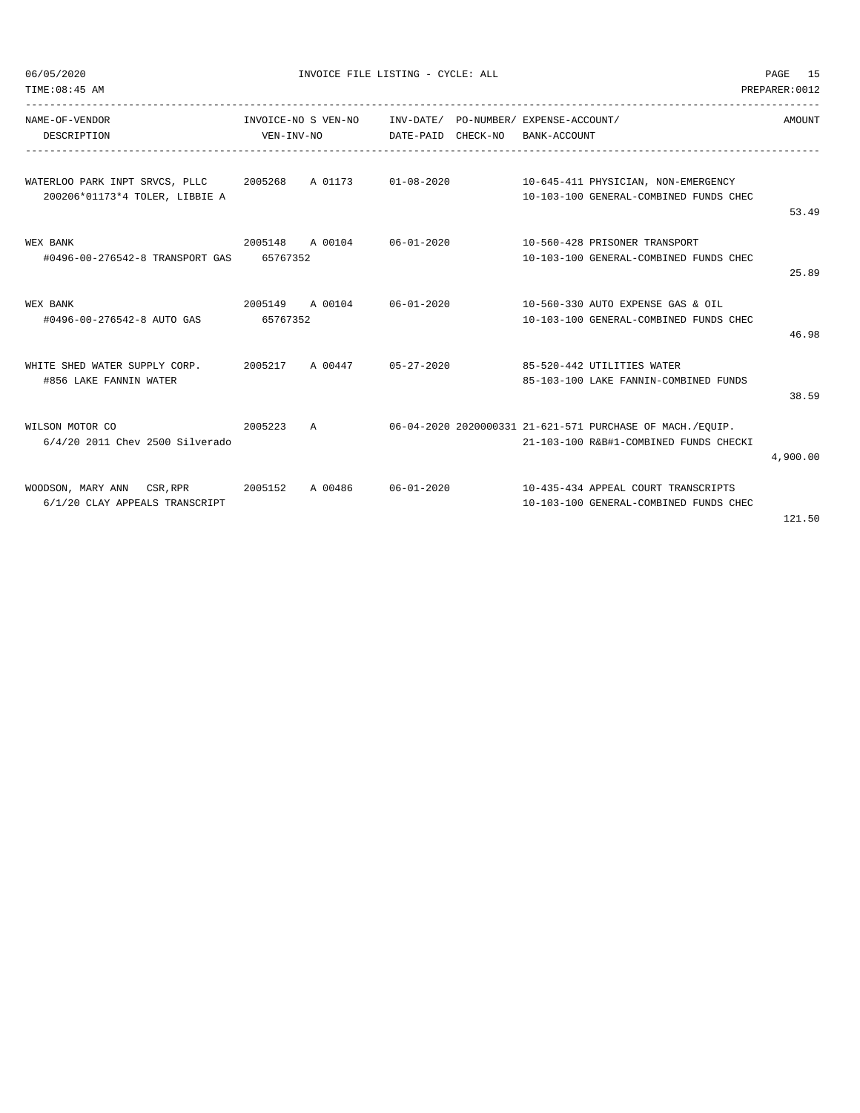| TIME: 08:45 AM<br>PREPARER: 0012                                                                                                |            |                     |                                                             |  |              |                                                                                                        |          |
|---------------------------------------------------------------------------------------------------------------------------------|------------|---------------------|-------------------------------------------------------------|--|--------------|--------------------------------------------------------------------------------------------------------|----------|
| NAME-OF-VENDOR<br>DESCRIPTION                                                                                                   | VEN-INV-NO | INVOICE-NO S VEN-NO | INV-DATE/ PO-NUMBER/ EXPENSE-ACCOUNT/<br>DATE-PAID CHECK-NO |  | BANK-ACCOUNT |                                                                                                        | AMOUNT   |
| WATERLOO PARK INPT SRVCS, PLLC 2005268 A 01173 01-08-2020 10-645-411 PHYSICIAN, NON-EMERGENCY<br>200206*01173*4 TOLER, LIBBIE A |            |                     |                                                             |  |              | 10-103-100 GENERAL-COMBINED FUNDS CHEC                                                                 | 53.49    |
| 2005148 A 00104 06-01-2020<br>WEX BANK<br>#0496-00-276542-8 TRANSPORT GAS 65767352                                              |            |                     |                                                             |  |              | 10-560-428 PRISONER TRANSPORT<br>10-103-100 GENERAL-COMBINED FUNDS CHEC                                | 25.89    |
| WEX BANK<br>#0496-00-276542-8 AUTO GAS                                                                                          | 65767352   |                     |                                                             |  |              | 2005149 A 00104 06-01-2020 10-560-330 AUTO EXPENSE GAS & OIL<br>10-103-100 GENERAL-COMBINED FUNDS CHEC | 46.98    |
| WHITE SHED WATER SUPPLY CORP. 2005217 A 00447 05-27-2020 85-520-442 UTILITIES WATER<br>#856 LAKE FANNIN WATER                   |            |                     |                                                             |  |              | 85-103-100 LAKE FANNIN-COMBINED FUNDS                                                                  | 38.59    |
| 2005223 A<br>WILSON MOTOR CO<br>6/4/20 2011 Chev 2500 Silverado                                                                 |            |                     |                                                             |  |              | 06-04-2020 2020000331 21-621-571 PURCHASE OF MACH./EOUIP.<br>21-103-100 R&B#1-COMBINED FUNDS CHECKI    | 4,900.00 |
| WOODSON, MARY ANN CSR, RPR 2005152<br>6/1/20 CLAY APPEALS TRANSCRIPT                                                            |            | A 00486             |                                                             |  |              | 10-103-100 GENERAL-COMBINED FUNDS CHEC                                                                 |          |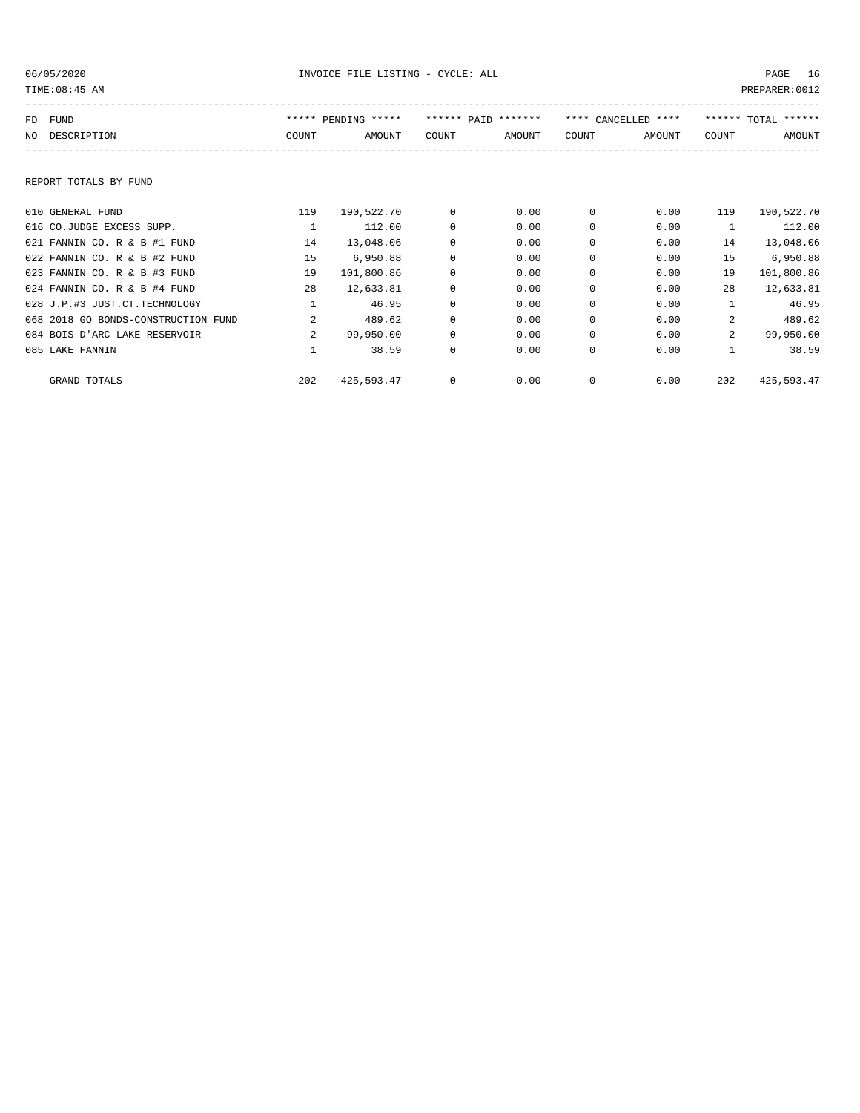| TIME: 08:45 AM                      |                |                     |              |                     |              |                     |                | PREPARER: 0012      |
|-------------------------------------|----------------|---------------------|--------------|---------------------|--------------|---------------------|----------------|---------------------|
| FUND<br>FD                          |                | ***** PENDING ***** |              | ****** PATD ******* |              | **** CANCELLED **** |                | ****** TOTAL ****** |
| NO DESCRIPTION                      | COUNT          | AMOUNT              | COUNT        | AMOUNT              | COUNT        | AMOUNT              | COUNT          | AMOUNT              |
|                                     |                |                     |              |                     |              |                     |                |                     |
| REPORT TOTALS BY FUND               |                |                     |              |                     |              |                     |                |                     |
| 010 GENERAL FUND                    | 119            | 190,522.70          | $^{\circ}$   | 0.00                | $^{\circ}$   | 0.00                | 119            | 190,522.70          |
| 016 CO.JUDGE EXCESS SUPP.           | $\mathbf{1}$   | 112.00              | $^{\circ}$   | 0.00                | 0            | 0.00                | $\mathbf{1}$   | 112.00              |
| 021 FANNIN CO. R & B #1 FUND        | 14             | 13,048.06           | 0            | 0.00                | $\Omega$     | 0.00                | 14             | 13,048.06           |
| 022 FANNIN CO. R & B #2 FUND        | 15             | 6,950.88            | 0            | 0.00                | 0            | 0.00                | 15             | 6,950.88            |
| 023 FANNIN CO. R & B #3 FUND        | 19             | 101,800.86          | $^{\circ}$   | 0.00                | 0            | 0.00                | 19             | 101,800.86          |
| 024 FANNIN CO. R & B #4 FUND        | 28             | 12,633.81           | $^{\circ}$   | 0.00                | 0            | 0.00                | 28             | 12,633.81           |
| 028 J.P.#3 JUST.CT.TECHNOLOGY       |                | 46.95               | $^{\circ}$   | 0.00                | $\Omega$     | 0.00                |                | 46.95               |
| 068 2018 GO BONDS-CONSTRUCTION FUND | $\overline{a}$ | 489.62              | $\mathbf 0$  | 0.00                | $\Omega$     | 0.00                | 2              | 489.62              |
| 084 BOIS D'ARC LAKE RESERVOIR       | $\overline{a}$ | 99,950.00           | $\mathbf 0$  | 0.00                | $\mathbf 0$  | 0.00                | $\overline{a}$ | 99,950.00           |
| 085 LAKE FANNIN                     |                | 38.59               | $\mathbf{0}$ | 0.00                | $\mathbf{0}$ | 0.00                | $\mathbf{1}$   | 38.59               |
| GRAND TOTALS                        | 202            | 425,593.47          | $^{\circ}$   | 0.00                | $\mathbf{0}$ | 0.00                | 202            | 425,593.47          |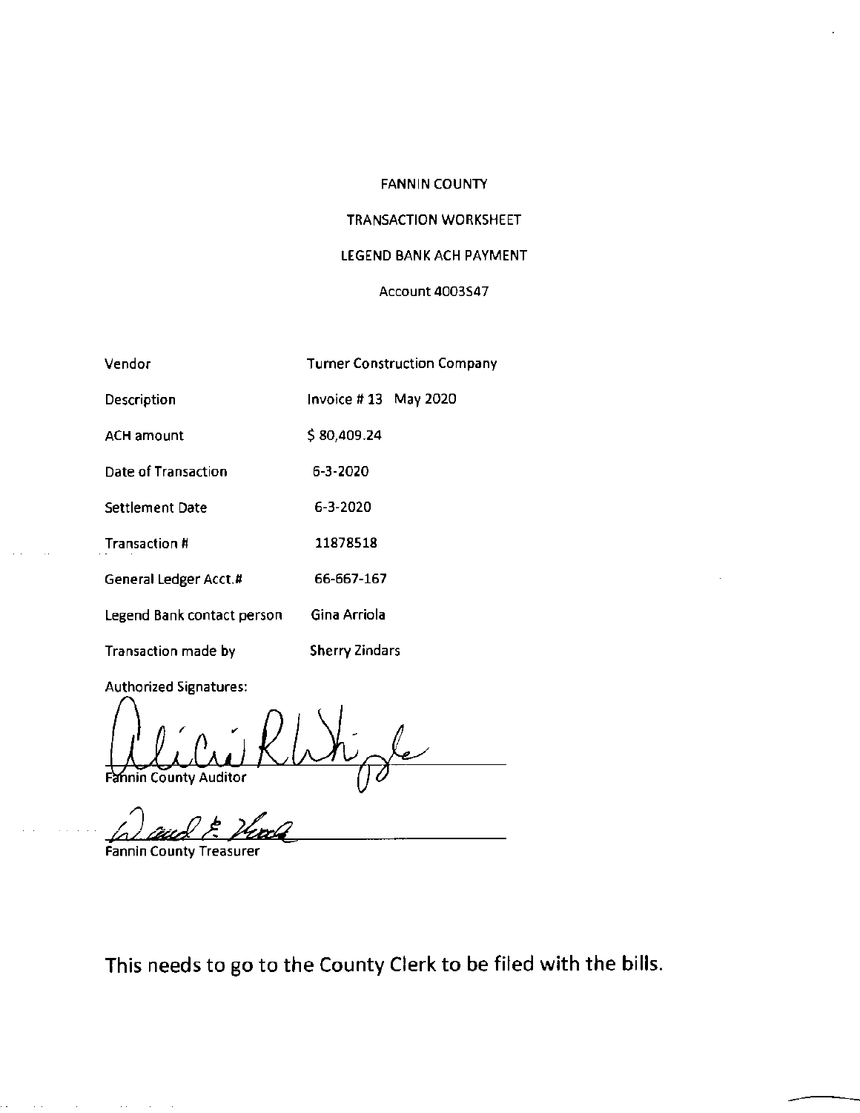## FANNIN COUNTY

# TRANSACTION WORKSHEET

# LEGEND BANK ACH PAYMENT

### Account 4003547

| Vendor                     | <b>Turner Construction Company</b> |
|----------------------------|------------------------------------|
| Description                | Invoice #13 May 2020               |
| <b>ACH amount</b>          | \$80,409.24                        |
| Date of Transaction        | 6-3-2020                           |
| Settlement Date            | 6-3-2020                           |
| Transaction #              | 11878518                           |
| General Ledger Acct.#      | 66-667-167                         |
| Legend Bank contact person | Gina Arriola                       |
| Transaction made by        | <b>Sherry Zindars</b>              |

Authorized Signatures:

Fà nin County Auditor

Fannin County Treasurer

 $\epsilon(\epsilon) = \epsilon(\epsilon(\epsilon))$  .

This needs to go to the County Clerk to be filed with the bills.